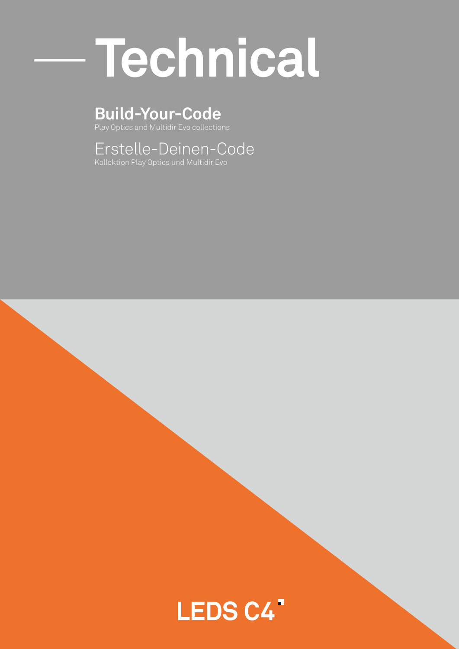# — **Technical**

## **Build-Your-Code**

Play Optics and Multidir Evo collections

Erstelle-Deinen-Code

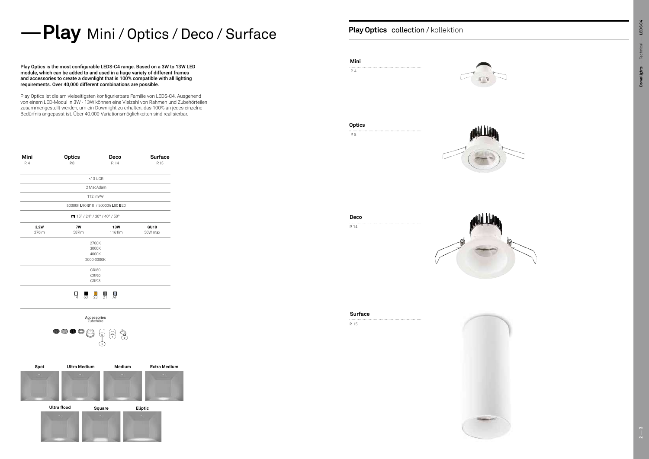**Surface**



| Mini<br>P.4 | <b>Optics</b><br>P.8 | Deco<br>P. 14                   | <b>Surface</b><br>P.15 |
|-------------|----------------------|---------------------------------|------------------------|
|             |                      | $<$ 13 UGR                      |                        |
|             |                      | 2 MacAdam                       |                        |
|             |                      | 112 lm/W                        |                        |
|             |                      | 50000h L90 B10 / 50000h L80 B20 |                        |
|             |                      | 15° / 24° / 30° / 40° / 50°     |                        |
| 3,2W        | 7W                   | <b>13W</b>                      | <b>GU10</b>            |
| 276lm       | 587lm                | 1161lm                          | 50W max                |
|             |                      | 2700K                           |                        |
|             |                      | 3000K                           |                        |
|             |                      | 4000K                           |                        |
|             |                      | 2000-3000K                      |                        |
|             |                      | CRI80                           |                        |
|             |                      | <b>CRI90</b>                    |                        |
|             |                      | <b>CRI93</b>                    |                        |
|             |                      |                                 |                        |





## — **Play Play Optics** Mini / Optics / Deco / Surface

14 60 23 21 AF

P. 15

Play Optics is the most configurable LEDS-C4 range. Based on a 3W to 13W LED module, which can be added to and used in a huge variety of different frames and accessories to create a downlight that is 100% compatible with all lighting requirements. Over 40,000 different combinations are possible.



Play Optics collection / kollektion

Play Optics ist die am vielseitigsten konfigurierbare Familie von LEDS-C4. Ausgehend von einem LED-Modul in 3W - 13W können eine Vielzahl von Rahmen und Zubehörteilen zusammengestellt werden, um ein Downlight zu erhalten, das 100% an jedes einzelne Bedürfnis angepasst ist. Über 40.000 Variationsmöglichkeiten sind realisierbar.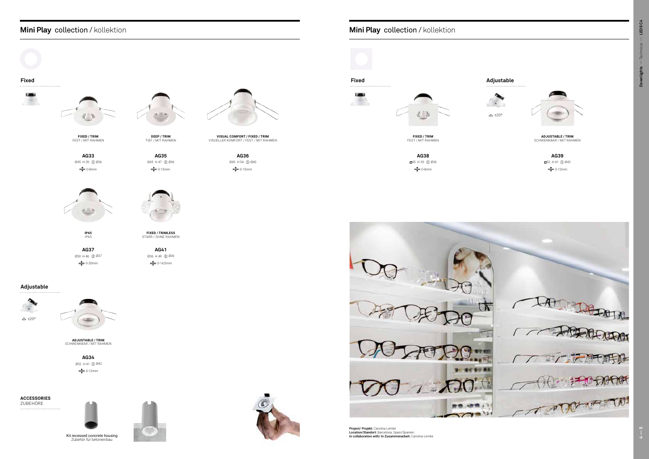### **Mini Play Mini Play**

**AG38** 45 H 39 Ø36  $\frac{1}{2}$  0-8mm



**Project/ Projekt:** Carolina Lemke<br>**Location/Standort:** Barcelona, Spain/Spanien<br>**In collaboration with/ In Zusammenarbeit:** Carolina Lemke

**AG33** Ø45 H 39 Ø36 0-8mm

**AG35** Ø45 H 47 Ø36 **strate** 0-15mm



**AG37** Ø50 H 46 Ø37 0-20mm

**AG36** Ø45 H 54 Ø40  $\frac{1}{2}$  0-15mm

## Mini Play collection / kollektion

**AG34** Ø52 H 41 Ø42  $\frac{1}{2}$  0-12mm

**AG39** 52 H 41 Ø42  $\frac{1}{2}$  0-12mm

## **Fixed Fixed Adjustable**  $\overline{\phantom{a}}$ d.

**AG41** Ø36 H 49 Ø36 0-14,5mm



**Adjustable**

AF





±20º



Kit recessed concrete housing Zubehör für betoneinbau





**ADJUSTABLE / TRIM** SCHWENKBAR / MIT RAHMEN

**ACCESSORIES** ZUBEHÖRE

**FIXED / TRIM**  FEST / MIT RAHMEN

**FIXED / TRIMLESS** STARR / OHNE RAHMEN

**VISUAL COMFORT / FIXED / TRIM** VISUELLER KOMFORT / FEST / MIT RAHMEN

**ADJUSTABLE / TRIM** SCHWENKBAR / MIT RAHMEN



**FIXED / TRIM**  FEST / MIT RAHMEN

**IP65** IP65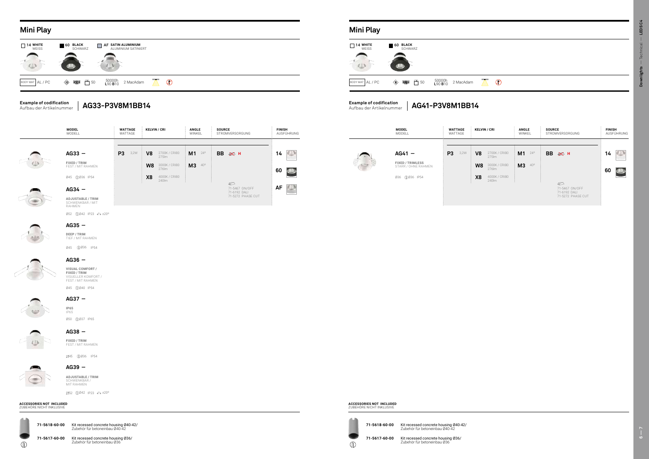**14 14 60 60 M1**  $^{24}$  **BB**  $\otimes$  **H 14 BB 14 BB AG41 AG41 BB P3** <sup>3,2W</sup> **V8** <sup>2700K/CRI80 **M1** <sup>24°</sup> **BB**</sup> **H**  $\begin{bmatrix} 14 \end{bmatrix}$  **BB** وَ 14  $\begin{bmatrix} 48 \end{bmatrix}$  **AG41 −** و 2700K/CRI80  $\vdots$  **M1** 24º  $\vdots$  **BB** و 45 **MODEL** MODELL **WATTAGE**  WATTAGE **FIXED / TRIMLESS** STARR / OHNE RAHMEN

**AG36 \_**

#### **AG37 \_**

## **AG38 \_**

#### $\overline{\textcircled{\,}}$

45 Ø36 IP54



Ø45 Ø40 IP54



Ø50 Ø37 IP65



52 Ø42 IP23 ±20º

**71-5618-60-00 71-5618-60-00** Kit recessed concrete housing Ø40-42/ Zubehör für betoneinbau Ø40-42

**71-5617-60-00** Kit recessed concrete housing Ø36/<br>Zubehör für betoneinbau Ø36

 $\mathbb{O}$ 



#### **Mini Play Mini Play**

#### **ACCESSORIES NOT INCLUDED** ZUBEHÖRE NICHT INKLUSIVE

#### **AG39 \_ ADJUSTABLE / TRIM** SCHWENKBAR / MIT RAHMEN

#### **AG35 \_ DEEP / TRIM**

#### **ACCESSORIES NOT INCLUDED** ZUBEHÖRE NICHT INKLUSIVE



Ø52 Ø42 IP23 ±20º SCHWENKBAR / MIT RAHMEN



Ø45 Ø36 IP54 TIEF / MIT RAHMEN





| AG33-P3V8M1BB14                                                                   | <b>Example of codification</b><br>AG41-P3V8M1BB14<br>Aufbau der Artikelnummer |
|-----------------------------------------------------------------------------------|-------------------------------------------------------------------------------|
| 50000h<br><b>L</b> 90 <b>B</b> 10<br>← 50<br>$\oslash$<br>2 MacAdam<br>$\sqrt{N}$ | 50000h<br>L90 <b>B</b> 10<br>2 MacAdam<br>BODY MAT AL / PC                    |
|                                                                                   | 心                                                                             |
| IARZ.<br>$\equiv$<br>ALUMINIUM SATINIERT                                          | WEISS<br>SCHWARZ                                                              |

60 BLACK

■ 14 WHITE







**IP65** IP65

**FIXED / TRIM**  FEST / MIT RAHMEN

#### **Example of codification** Aufbau der Artikelnummer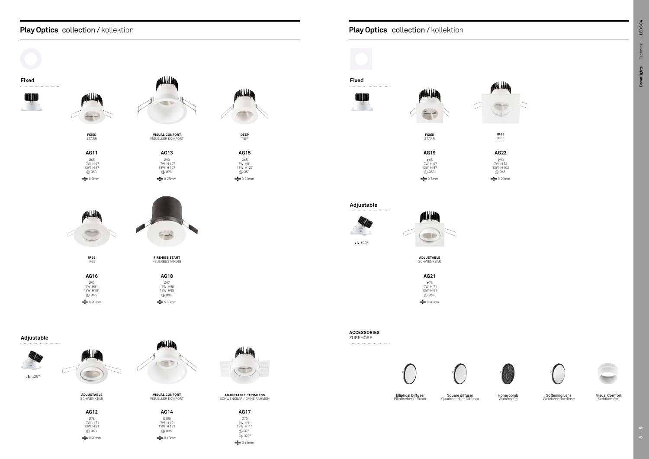**AG17** Ø75 7W H91 13W H111 Ø75  $\Rightarrow$  320 $^{\circ}$ **exter** 0-18mm

### **Play Optics** collection / kollektion

**AG12** Ø78 7W H 71 13W H 91 Ø68 0-20mm

**AG22 Ø93** 7W H 82 13W H 102  $\n *0.065*\n$ <sup><sup>1</sup>/<sub>20</sub> 0-20mm</sup>



**AG14** Ø100 7W H 101 13W H 121 Ø95 0-18mm





Visual Comfort Sichtkomfort

Elliptical Diffuser Elliptischer Diffusor

Square diffuser Quadratischer Diffusor

Honeycomb Wabentafel



Softening Lens Weichzeichnerlinse



**ADJUSTABLE**  SCHWENKBAR

**IP65** IP65

**ADJUSTABLE / TRIMLESS** SCHWENKBAR / OHNE RAHMEN

**VISUAL CONFORT** VISUELLER KOMFORT

### Play Optics collection / kollektion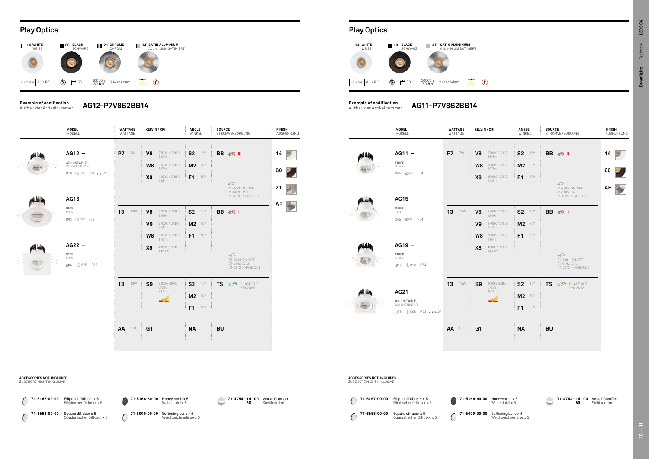#### **Play Optics Play Optics**





**71-4754 - 14** Visual Comfort **60**

**Sichtkomfort** 



| ' CRI                                                                      | ANGLE<br>WINKEL                         |              | <b>SOURCE</b> | STROMVERSORGUNG                                                                    | <b>FINISH</b>        | AUSFÜHRUNG |                 | <b>MODEL</b><br>MODELL                                         |              | <b>WATTAGE</b><br>WATTAGE |                            | <b>KELVIN / CRI</b>                                                        | ANGLE<br>WINKEL                         | <b>SOURCE</b><br>STROMVERSORGUNG                                    | FIN<br>AU.     |
|----------------------------------------------------------------------------|-----------------------------------------|--------------|---------------|------------------------------------------------------------------------------------|----------------------|------------|-----------------|----------------------------------------------------------------|--------------|---------------------------|----------------------------|----------------------------------------------------------------------------|-----------------------------------------|---------------------------------------------------------------------|----------------|
| 2700K / CRI80<br>569lm<br>3000K / CRI80<br>587lm<br>4000K / CRI80<br>648lm | $S2$ 15°<br>M2 30°<br>F1                | $50^{\circ}$ |               | BB $\gg$ E<br>$\mathcal{D}$<br>71-3883 ON/OFF<br>71-6192 DALI<br>71-4899 PHASE CUT | 14<br>60<br>21<br>AF | 9<br>2     | ni Lia<br>ولللغ | $AG11 -$<br>FIXED<br>STARR<br>Ø65 10 Ø58 IP54<br>$AG15 -$      | <b>P7</b> 7W |                           | V8<br>W8<br>X <sub>8</sub> | 2700K / CRI80<br>569lm<br>3000K / CRI80<br>587lm<br>4000K / CRI80<br>648lm | $S2$ 15°<br>$M2$ 30°<br>$F1$ 50°        | BB ※ E<br>⊕<br>71-3883 ON/OFF<br>71-6192 DALI<br>71-4899 PHASE CUT  | 14<br>60<br>AF |
| 2700K / CRI80<br>1249lm<br>2700K / CRI93<br>954lm<br>3000K / CRI80         | $S2$ $15^\circ$<br>$M2$ 30°<br>$F1$ 50° |              |               | <b>BB ※ I</b>                                                                      |                      |            |                 | DEEP<br><b>TIEF</b><br>Ø65 10 Ø58 IP54                         | 13           | <b>13W</b>                | V8<br>V <sub>9</sub><br>W8 | 2700K / CRI80<br>1249lm<br>2700K / CRI93<br>954lm<br>3000K / CRI80         | $S2$ 15°<br>$M2$ 30°<br>$F1$ 50°        | BB ※ I                                                              |                |
| 1161lm<br>4000K / CRI80<br>1453lm                                          |                                         |              |               | ☞<br>71-3884 ON/OFF<br>71-6192 DALI<br>71-5272 PHASE CUT                           |                      |            | هلللنان         | $AG19 -$<br>FIXED<br>STARR<br>Z65 10 Ø58 IP54                  |              |                           | X <sub>8</sub>             | 1161lm<br>4000K / CRI80<br>1453lm                                          |                                         | $\mathbb{Z}$<br>71-3884 ON/OFF<br>71-6192 DALI<br>71-5272 PHASE CUT |                |
| 2000-3000K/<br>CRI90<br>897Im<br>2000-3000K                                | S <sub>2</sub><br>M2 30°<br>$F1$ 50°    | $15^{\circ}$ |               | <b>TS</b> $\mathbb{Z}^4$ PHASE CUT<br>220-240V                                     |                      |            | وتقللهم         | $AG21 -$<br>ADJUSTABLE<br>SCHWENKBAR<br>Z78 10068 IP23 √N ±20° | 13           | <b>13W</b>                | S <sub>9</sub>             | 2000-3000K/<br>CRI90<br>897lm<br>2000-3000K                                | $S2$ 15°<br>$M2$ 30°<br>$F1 - 50^\circ$ | <b>TS</b> $\mathbb{Z}^4$ PHASE CUT<br>220-240V                      |                |
|                                                                            | <b>NA</b>                               |              | <b>BU</b>     |                                                                                    |                      |            |                 |                                                                |              | AA GU10                   | G <sub>1</sub>             |                                                                            | <b>NA</b>                               | <b>BU</b>                                                           |                |



#### **Example of codification** Aufbau der Artikelnummer

**71-5167-00-00** Elliptical Diffuser x 5 Elliptischer Diffusor x 5  $\bigcirc$ **71-5658-00-00** Square diffuser x 5 Quadratischer Diffusor x 5 **71-5166-60-00** Honeycomb x 5 Wabentafel x 5

**Example of codification** Aufbau der Artikelnummer

> **71-6099-00-00** Softening Lens x 5 Weichzeichnerlinse x 5

**71-5166-60-00** Honeycomb x 5 **71-6099-00-00** Softening Lens x 5 Weichzeichnerlinse x 5 Wabentafel x 5

**60** Sichtkomfort **ACCESSORIES NOT INCLUDED** ZUBEHÖRE NICHT INKLUSIVE

#### **ACCESSORIES NOT INCLUDED** ZUBEHÖRE NICHT INKLUSIVE



**AG11-P7V8S2BB14**

**AG12-P7V8S2BB14**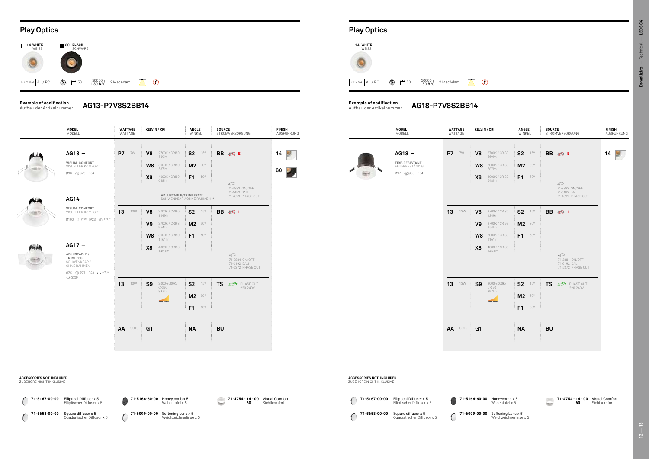### **Play Optics Play Optics**

**71-5658-00-00** Square diffuser x 5 Quadratischer Diffusor x 5 U





|                | <b>KELVIN / CRI</b>                                                                | <b>ANGLE</b><br>WINKEL           |                     | <b>SOURCE</b> | STROMVERSORGUNG                                          | <b>FINISH</b><br>AUSFÜHRUNG   | <b>MODEL</b><br>MODELL                                                | <b>WATTAGE</b><br>WATTAGE | <b>KELVIN / CRI</b>                                                                                                  | ANGLE<br>WINKEL                                                  | <b>SOURCE</b><br>STROMVERSORGUNG                                     | <b>FIN</b><br>AU |
|----------------|------------------------------------------------------------------------------------|----------------------------------|---------------------|---------------|----------------------------------------------------------|-------------------------------|-----------------------------------------------------------------------|---------------------------|----------------------------------------------------------------------------------------------------------------------|------------------------------------------------------------------|----------------------------------------------------------------------|------------------|
| V8<br>X8       | 2700K / CRI80<br>569lm<br><b>W8</b> 3000K/CRI80<br>587lm<br>4000K / CRI80<br>648lm | S <sub>2</sub><br>$M2$ 30°<br>F1 | $15^{\circ}$<br>50° |               | BB @ E<br>$\mathcal{D}$                                  | 9<br>14<br>$\mathbf{v}$<br>60 | $AG18 -$<br><b>FIRE-RESISTANT</b><br>FEUERBESTÄNDIG<br>Ø97 10088 IP54 | <b>P7</b> 7W              | V <sub>8</sub><br>2700K / CRI80<br>569lm<br>W8<br>3000K / CRI80<br>587lm<br>X <sub>8</sub><br>4000K / CRI80<br>648lm | S <sub>2</sub><br>$15^{\circ}$<br>$M2$ 30°<br>F1<br>$50^{\circ}$ | BB @ E<br>$\mathcal{D}$                                              | 14               |
|                | ADJUSTABLE/TRIMLESS**<br>SCHWENKBAR / OHNE RAHMEN **                               |                                  |                     |               | 71-3883 ON/OFF<br>71-6192 DALI<br>71-4899 PHASE CUT      |                               |                                                                       |                           |                                                                                                                      |                                                                  | 71-3883 ON/OFF<br>71-6192 DALI<br>71-4899 PHASE CUT                  |                  |
| V8             | 2700K / CRI80<br>1249lm                                                            | $S2$ $15^\circ$                  |                     |               | BB ※ I                                                   |                               |                                                                       | 13<br>13W                 | 2700K / CRI80<br>V <sub>8</sub><br>1249lm                                                                            | $S2$ 15°                                                         | BB $\gg 1$                                                           |                  |
| V9             | 2700K / CRI93<br>954m                                                              | $M2$ 30°                         |                     |               |                                                          |                               |                                                                       |                           | V <sub>9</sub><br>2700K / CRI93<br>954m                                                                              | $M2$ 30°                                                         |                                                                      |                  |
| W8             | 3000K / CRI80<br>1161lm                                                            | $F1$ 50°                         |                     |               |                                                          |                               |                                                                       |                           | W8<br>3000K / CRI80<br>1161lm                                                                                        | $F1$ 50°                                                         |                                                                      |                  |
| X8             | 4000K / CRI80<br>1453lm                                                            |                                  |                     |               |                                                          |                               |                                                                       |                           | X <sub>8</sub><br>4000K / CRI80<br>1453lm                                                                            |                                                                  |                                                                      |                  |
|                |                                                                                    |                                  |                     |               | ⊕<br>71-3884 ON/OFF<br>71-6192 DALI<br>71-5272 PHASE CUT |                               |                                                                       |                           |                                                                                                                      |                                                                  | $\mathcal{D}$<br>71-3884 ON/OFF<br>71-6192 DALI<br>71-5272 PHASE CUT |                  |
| S9             | 2000-3000K/<br>CRI90                                                               | S <sub>2</sub>                   | 15°                 |               | <b>TS &amp;PHASE CUT</b><br>220-240V                     |                               |                                                                       | 13<br><b>13W</b>          | S <sub>9</sub><br>2000-3000K/<br>CRI90                                                                               | $S2$ 15°                                                         | <b>OF</b> PHASE CUT<br><b>TS</b><br>220-240V                         |                  |
|                | 897lm<br>2000-3000K                                                                |                                  | $M2$ 30°            |               |                                                          |                               |                                                                       |                           | 897lm<br>2000-3000K                                                                                                  | $M2$ 30°                                                         |                                                                      |                  |
|                |                                                                                    | F1                               | $50^{\circ}$        |               |                                                          |                               |                                                                       |                           |                                                                                                                      | F1<br>$50^{\circ}$                                               |                                                                      |                  |
| G <sub>1</sub> |                                                                                    | <b>NA</b>                        |                     | <b>BU</b>     |                                                          |                               |                                                                       | AA GU10                   | G <sub>1</sub>                                                                                                       | <b>NA</b>                                                        | <b>BU</b>                                                            |                  |
|                |                                                                                    |                                  |                     |               |                                                          |                               |                                                                       |                           |                                                                                                                      |                                                                  |                                                                      |                  |

|         | <b>MODEL</b><br>MODELL                                                    | <b>WATTAGE</b><br>WATTAGE | <b>KELVIN / CRI</b>                    |                                                                            | ANGLE<br>WINKEL                        |                              | <b>SOURCE</b> | STROMVERSORGUNG                                                   | <b>FINISH</b> | AUSFÜHRUNG | <b>MODEL</b><br>MODELL                                                | <b>WATTAGE</b><br>WATTAGE |
|---------|---------------------------------------------------------------------------|---------------------------|----------------------------------------|----------------------------------------------------------------------------|----------------------------------------|------------------------------|---------------|-------------------------------------------------------------------|---------------|------------|-----------------------------------------------------------------------|---------------------------|
| فللفاه  | $AG13 -$<br><b>VISUAL CONFORT</b><br>VISUELLER KOMFORT<br>Ø90 1078 IP54   | P7 7W                     | V <sub>8</sub><br>W8<br>X <sub>8</sub> | 2700K / CRI80<br>569lm<br>3000K / CRI80<br>587lm<br>4000K / CRI80<br>648lm | S <sub>2</sub><br>$M2$ 30°<br>$F1$ 50° | $15^{\circ}$                 |               | BB ※ E<br>$\circledcirc$                                          | 14<br>60      | У          | $AG18 -$<br><b>FIRE-RESISTANT</b><br>FEUERBESTÄNDIG<br>Ø97 10088 IP54 | <b>P7</b> 7W              |
| والملاو | $AG14 -$                                                                  |                           |                                        | ADJUSTABLE/TRIMLESS**<br>SCHWENKBAR / OHNE RAHMEN **                       |                                        |                              |               | 71-3883 ON/OFF<br>71-6192 DALI<br>71-4899 PHASE CUT               |               |            |                                                                       |                           |
|         | VISUAL CONFORT<br>VISUELLER KOMFORT<br>Ø100 1095 IP23 41+ ±20°            | 13<br><b>13W</b>          | V8<br>V9                               | 2700K / CRI80<br>1249lm<br>2700K / CRI93<br>954m                           | S <sub>2</sub><br>$M2$ 30°             | $15^{\circ}$                 |               | <b>BB ※ I</b>                                                     |               |            |                                                                       | $13 - 13W$                |
| ولللغم  | $AG17 -$                                                                  |                           | W8<br>X <sub>8</sub>                   | 3000K / CRI80<br>1161lm<br>4000K / CRI80                                   | F1                                     | $50^{\circ}$                 |               |                                                                   |               |            |                                                                       |                           |
|         | ADJUSTABLE /<br>TRIMLESS<br>SCHWENKBAR /<br>OHNE RAHMEN<br>Ø75 123 4 120° |                           |                                        | 1453lm                                                                     |                                        |                              |               | $\bigcirc$<br>71-3884 ON/OFF<br>71-6192 DALI<br>71-5272 PHASE CUT |               |            |                                                                       |                           |
|         | $\Leftrightarrow$ 320 $^{\circ}$                                          | 13<br>13W                 | <b>S9</b>                              | 2000-3000K/<br><b>CRI90</b><br>897lm<br>2000-3000K                         | S <sub>2</sub><br>$M2$ 30°<br>F1       | $15^{\circ}$<br>$50^{\rm o}$ | <b>TS</b>     | <b>OF</b> PHASE CUT<br>220-240V                                   |               |            |                                                                       | <b>13</b> 13W             |
|         |                                                                           | AA GU10                   | G <sub>1</sub>                         |                                                                            | <b>NA</b>                              |                              | <b>BU</b>     |                                                                   |               |            |                                                                       | AA GU10                   |



#### **Example of codification** Aufbau der Artikelnummer

**Example of codification** Aufbau der Artikelnummer

**71-5167-00-00 71-5167-00-00 - 00** Elliptical Diffuser x 5 Elliptischer Diffusor x 5 ZUBEHÖRE NICHT INKLUSIVE

**71-5166-60-00** Honeycomb x 5 Wabentafel x 5

**71-6099-00-00** Softening Lens x 5 Weichzeichnerlinse x 5

#### **ACCESSORIES NOT INCLUDED** ZUBEHÖRE NICHT INKLUSIVE

**71-4754 - 14 60** Visual Comfort Sichtkomfort

**ACCESSORIES NOT INCLUDED**

 $\bigcirc$ 

**AG18-P7V8S2BB14**

**71-5166-60-00** Honeycomb x 5 Wabentafel x 5 **71-6099-00-00** Softening Lens x 5

**AG13-P7V8S2BB14**

**71-4754 - 14 60 - 00** Visual Comfort Sichtkomfort



Weichzeichnerlinse x 5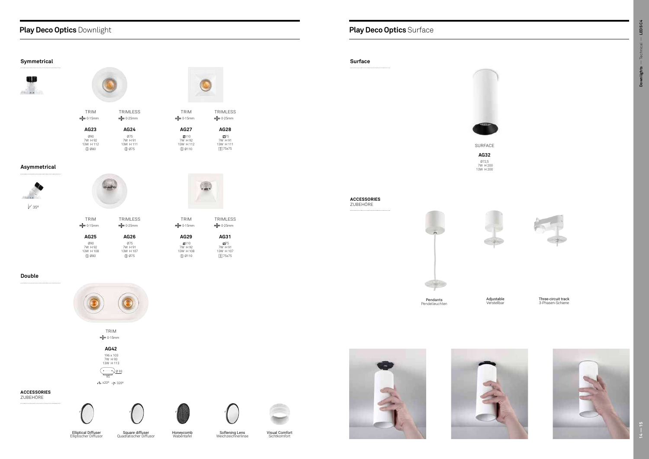TRIM <sup>3</sup> 0-15mm **AG23** Ø90 7W H 92 13W H 112  $@980$ TRIMLESS  $\frac{1}{2}$  0-25mm **AG24** Ø75 7W H 91 13W H 111  $@975$ 

## **Play Deco Optics** Downlight

**AG27** 110 7W H 92 13W H 112  $\overline{\text{p}}$  0110

TRIM  $\frac{1}{2}$  0-15mm

TRIM  $\frac{1}{2}$  0-15mm **AG25** Ø90 7W H 92 13W H 108



TRIM 0-15mm

> TRIMLESS **strate** 0-25mm

> > **AG31** 75 7W H 91 13W H 107 D 75x75

TRIM  $\frac{1}{2}$  0-15mm **AG29**  $\boxtimes$ 110 7W H 92 13W H 108 Ø110

Ø80 TRIMLESS  $\frac{1}{2}$  0-25mm **AG26** Ø75 7W H 91 13W H 107 Ø75

TRIMLESS 0-25mm

**AG28**

Z75<br>7W H 91<br>13W H 111 D 75x75



**AG42** 196 x 103 7W H 93 13W H 113 95 Ø 93

±20º 320º

#### **Symmetrical**





#### **Asymmetrical**

#### **Double**







## **Play Deco Optics** Surface

SURFACE





**AG32** Ø72,5 7W H 200 13W H 200

**Surface**



Visual Comfort Sichtkomfort

#### **ACCESSORIES** ZUBEHÖRE

 $\ldots$ 











Elliptical Diffuser Elliptischer Diffusor

Square diffuser Quadratischer Diffusor

Honeycomb Wabentafel

Softening Lens Weichzeichnerlinse

**ACCESSORIES** ZUBEHÖRE



Pendants<br>Pendelleuchten





Adjustable Verstellbar

Three-circuit track 3-Phasen-Schiene Pendants



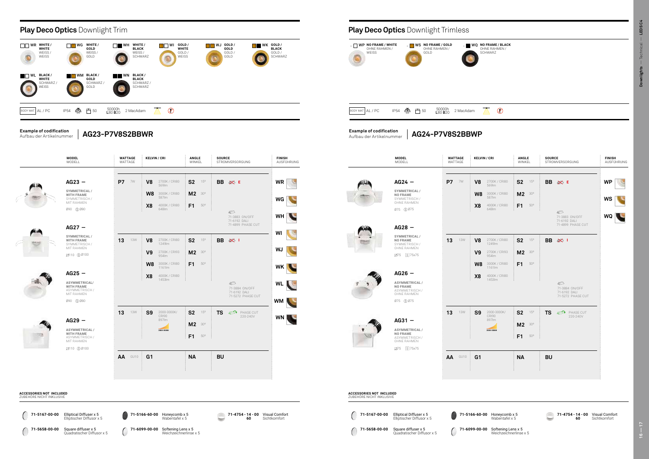**71-4754 - 14 - 00** Visual Comfort **60**

۰

 $\sqrt{}$ 50000h <sup>L</sup>80 B<sup>20</sup> 2 MacAdam

**NO FRAME / GOLD** 



**71-5167-00-00** Elliptical Diffuser x 5 Elliptischer Diffusor x 5

**71-5658-00-00** Square diffuser x 5 Quadratischer Diffusor x 5

**71-5166-60-00** Honeycomb x 5 Wabentafel x 5

**71-6099-00-00** Softening Lens x 5 Weichzeichnerlinse x 5

| / CRI                       | <b>ANGLE</b><br>WINKEL            | <b>SOURCE</b><br>STROMVERSORGUNG                          | <b>FINISH</b><br>AUSFÜHRUNG |
|-----------------------------|-----------------------------------|-----------------------------------------------------------|-----------------------------|
|                             |                                   |                                                           |                             |
| 2700K / CRI80<br>569lm      | S <sub>2</sub><br>15°             | BB ⊗ E                                                    | <b>WP</b>                   |
| 3000K / CRI80<br>587lm      | M <sub>2</sub><br>30°             |                                                           | WS                          |
| 4000K / CRI80<br>648lm      | F <sub>1</sub><br>$50^\circ$      |                                                           |                             |
|                             |                                   | 6⊃<br>71-3883 ON/OFF<br>71-6192 DALI<br>71-4899 PHASE CUT | WQ                          |
| 2700K / CRI80<br>1249lm     | S <sub>2</sub><br>15°             | BB -<br>$\otimes$ 1                                       |                             |
| 2700K / CRI93<br>954m       | M <sub>2</sub><br>30 <sup>o</sup> |                                                           |                             |
| 3000K / CRI80<br>1161lm     | F <sub>1</sub><br>$50^\circ$      |                                                           |                             |
| 4000K / CRI80<br>1453lm     |                                   |                                                           |                             |
|                             |                                   | 6⊃<br>71-3884 ON/OFF<br>71-6192 DALI<br>71-5272 PHASE CUT |                             |
| 2000-3000K/<br><b>CRI90</b> | S <sub>2</sub><br>15°             | <b>TS</b><br>☞<br>PHASE CUT<br>220-240V                   |                             |
| 897lm<br>2000-3000K         | M <sub>2</sub><br>30°             |                                                           |                             |
|                             | ŧ<br>F <sub>1</sub><br>$50^\circ$ |                                                           |                             |
|                             | <b>NA</b>                         | <b>BU</b>                                                 |                             |
|                             |                                   |                                                           |                             |



#### **NO FRAME / BLACK** OHNE RAHMEN / SCHWARZ

#### $\oslash$



**71-5658-00-00** Square diffuser x 5 Quadratischer Diffusor x 5 **71-5166-60-00** Honeycomb x 5

**71-6099-00-00** Softening Lens x 5 Weichzeichnerlinse x 5

**71-4754 - 14 - 00** Visual Comfort **60** Sichtkomfort



Sichtkomfort

**Example of codification** Aufbau der Artikelnummer

**Example of codification** Aufbau der Artikelnummer

×

◠

#### **ACCESSORIES NOT INCLUDED** ZUBEHÖRE NICHT INKLUSIVE

Wabentafel x 5

**AG23-P7V8S2BBWR AG24-P7V8S2BBWP**

#### OHNE RAHMEN / **WEISS** OHNE RAHMEN / GOLD

**NO FRAME / WHITE**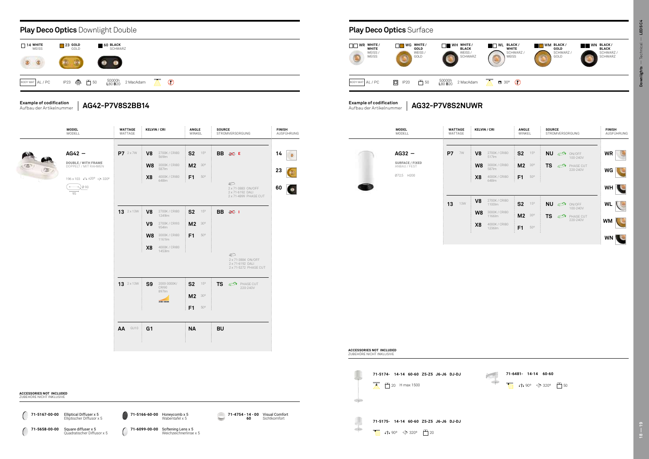#### **Play Deco Optics** Surface

**BLACK** SCHWARZ / SCHWARZ

| <b>MODEL</b><br>MODELL      |    | <b>WATTAGE</b><br>WATTAGE |                                                    | <b>KELVIN / CRI</b>                                                 |                                  | ANGLE<br>WINKEL     |                        | <b>SOURCE</b><br>STROMVERSORGUNG |                                             |                        | <b>FINISH</b><br>AUSFÜHRUNG |
|-----------------------------|----|---------------------------|----------------------------------------------------|---------------------------------------------------------------------|----------------------------------|---------------------|------------------------|----------------------------------|---------------------------------------------|------------------------|-----------------------------|
| $AG32 -$<br>SURFACE / FIXED | P7 | 7W                        | V <sub>8</sub>                                     | 2700K / CRI80<br>517lm<br>3000K / CRI80                             | <b>S2</b>                        | 15°<br>$30^{\circ}$ | <b>NU</b>              | $\mathbb{Z}^2$                   | ON/OFF<br>100-240V                          | <b>WR</b>              |                             |
| ANBAU / FEST<br>Ø72,5 H200  |    |                           | W <sub>8</sub><br>X <sub>8</sub>                   | 587lm<br>4000K / CRI80<br>648lm                                     | M <sub>2</sub><br>F <sub>1</sub> | $50^{\circ}$        | <b>TS</b>              | $\mathbb{Z}^2$                   | PHASE CUT<br>220-240V                       | WG<br>WH               |                             |
|                             | 13 | <b>13W</b>                | V <sub>8</sub><br>W <sub>8</sub><br>X <sub>8</sub> | 2700K / CRI80<br>1100lm<br>3000K / CRI80<br>1166lm<br>4000K / CRI80 | <b>S2</b><br>M <sub>2</sub>      | 15°<br>$30^{\circ}$ | <b>NU</b><br><b>TS</b> | $\mathbb{Z}^n$<br>$\mathbb{Z}^2$ | ON/OFF<br>100-240V<br>PHASE CUT<br>220-240V | <b>WL</b><br><b>WM</b> |                             |
|                             |    |                           |                                                    | 1236lm                                                              | F1                               | $50^{\circ}$        |                        |                                  |                                             | <b>WN</b>              |                             |



**71-5174- 14-14 60-60 Z5-Z5 J6-J6 DJ-DJ** 20 H max 1500

**GRO** 

÷

 $\sqrt{1}$   $\sqrt{1}$  90°  $\Rightarrow$  320°  $\frac{\pi}{2}$  20

**71-5175- 14-14 60-60 Z5-Z5 J6-J6 DJ-DJ**



**Example of codification** Aufbau der Artikelnummer



**AG32-P7V8S2NUWR**





ZUBEHÖRE NICHT INKLUSIVE

 $\bigcirc$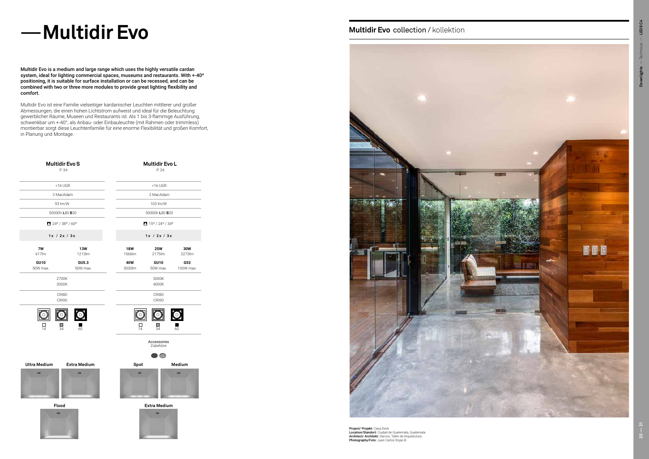|                                                   | <b>Multidir Evo S</b><br>P. 34 |                          | <b>Multidir Evo L</b><br>P. 24               |                  |  |  |  |  |  |
|---------------------------------------------------|--------------------------------|--------------------------|----------------------------------------------|------------------|--|--|--|--|--|
|                                                   | $<$ 16 UGR                     |                          | $<$ 16 UGR                                   |                  |  |  |  |  |  |
|                                                   | 2 MacAdam                      |                          | 2 MacAdam                                    |                  |  |  |  |  |  |
| 93 lm/W                                           |                                |                          | 103 lm/W                                     |                  |  |  |  |  |  |
|                                                   | 50000h L80 B20                 |                          | 50000h L80 B20                               |                  |  |  |  |  |  |
| $24^{\circ}$ / 38° / 60°                          |                                |                          | $15^{\circ}$ / 24 $^{\circ}$ / 34 $^{\circ}$ |                  |  |  |  |  |  |
| 1x / 2x / 3x                                      |                                |                          | 1x / 2x / 3x                                 |                  |  |  |  |  |  |
| 7W<br>617lm                                       | <b>13W</b><br>1213lm           | <b>18W</b><br>1566lm     | <b>25W</b><br>2175lm                         | 30W<br>2273lm    |  |  |  |  |  |
| <b>GU10</b><br>50W max.                           | GU5.3<br>50W max.              | 40W<br>3030lm            | <b>GU10</b><br>50W max.                      | G53<br>100W max. |  |  |  |  |  |
| 2700K<br>3000K                                    |                                |                          | 3000K<br>4000K                               |                  |  |  |  |  |  |
| CRI80<br>CRI90                                    |                                |                          | CRI80<br>CRI90                               |                  |  |  |  |  |  |
| $\bigcirc$<br>$\overline{\circ}$<br>H<br>14<br>34 | 60                             | O<br>14                  | $\bigcirc$<br>П<br>34                        | 60               |  |  |  |  |  |
|                                                   |                                |                          | Accessories<br>Zubehöre                      |                  |  |  |  |  |  |
| <b>Ultra Medium</b>                               | <b>Extra Medium</b>            | Spot                     | അ                                            | Medium           |  |  |  |  |  |
|                                                   |                                |                          |                                              |                  |  |  |  |  |  |
| Flood                                             |                                | <b>Extra Medium</b><br>▬ |                                              |                  |  |  |  |  |  |

#### **Multidir Evo collection / kollektion**



## $-$  **Multidir Evo**

Multidir Evo is a medium and large range which uses the highly versatile cardan system, ideal for lighting commercial spaces, museums and restaurants. With +-40º positioning, it is suitable for surface installation or can be recessed, and can be combined with two or three more modules to provide great lighting flexibility and comfort.

> **Project/ Projekt:** Casa Deck<br>**Location/Standort:** Ciudad de Guatemala, Guatemala<br>**Architect/ Architekt:** Darcon, Taller de Arquitectura Photography/Foto: Juan Carlos Rojas B.

Multidir Evo ist eine Familie vielseitiger kardanischer Leuchten mittlerer und großer Abmessungen, die einen hohen Lichtstrom aufweist und ideal für die Beleuchtung gewerblicher Räume, Museen und Restaurants ist. Als 1 bis 3-flammige Ausführung, schwenkbar um +-40°, als Anbau- oder Einbauleuchte (mit Rahmen oder trimmless) montierbar sorgt diese Leuchtenfamilie für eine enorme Flexibilität und großen Komfort, in Planung und Montage.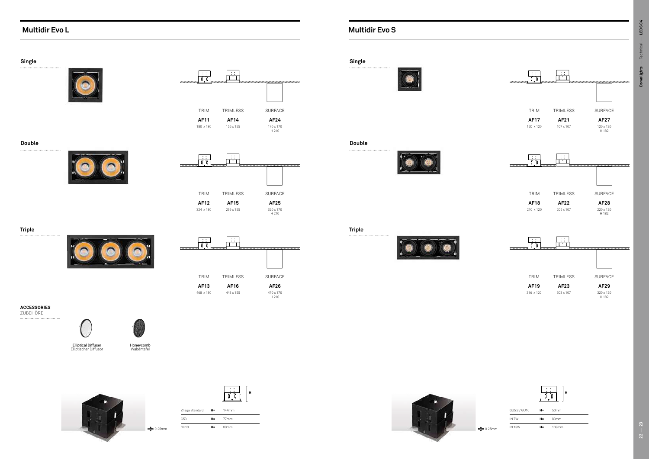## **Multidir Evo L Multidir Evo S**

|                  |       | ц                |
|------------------|-------|------------------|
| Zhaga Standard   | $H =$ | 144mm            |
| G53              | H= I  | 77 <sub>mm</sub> |
| GU <sub>10</sub> | H=    | 80mm             |



 $22 - 23$ 

Downlights - Technical - LEDSC4 — Technical — **LEDS C4 22 — 23 Downlights**





| <b>Single</b>      |                                                                         |                                                                              |                                       | Single            |  |
|--------------------|-------------------------------------------------------------------------|------------------------------------------------------------------------------|---------------------------------------|-------------------|--|
|                    |                                                                         | $\mathcal{L}(\mathcal{L})$<br>$\frac{1}{\sqrt{2}}$<br>$\overline{1}$ .<br>ШШ |                                       |                   |  |
|                    |                                                                         | TRIM<br>TRIMLESS                                                             | SURFACE                               |                   |  |
|                    |                                                                         | <b>AF11</b><br><b>AF14</b><br>180 x 180<br>$155\times155$                    | <b>AF24</b>                           |                   |  |
|                    |                                                                         |                                                                              | 170 x 170<br>H 210                    |                   |  |
| <b>Double</b><br>  |                                                                         |                                                                              |                                       | <b>Double</b><br> |  |
|                    |                                                                         | $\mathcal{L}(\mathcal{A})$<br>$\overline{1}$ .<br>777777777                  |                                       |                   |  |
|                    |                                                                         |                                                                              |                                       |                   |  |
|                    |                                                                         |                                                                              |                                       |                   |  |
|                    |                                                                         | TRIM<br>TRIMLESS                                                             | SURFACE                               |                   |  |
|                    |                                                                         | <b>AF12</b><br><b>AF15</b><br>324 x 180<br>299 x 155                         | <b>AF25</b><br>320 x 170<br>H 210     |                   |  |
|                    |                                                                         |                                                                              |                                       |                   |  |
| <b>Triple</b><br>  |                                                                         | $\sim$ $\sim$                                                                |                                       | <b>Triple</b><br> |  |
|                    |                                                                         | $\frac{1}{\sqrt{2}}$<br>$\overline{\mathbf{I}}$<br>77777777                  | ,,,,,,,,,,,,,,,,,,,,,,,,,,,,,,,,,,,,, |                   |  |
|                    | -                                                                       |                                                                              |                                       |                   |  |
|                    |                                                                         | TRIM<br>TRIMLESS                                                             | SURFACE                               |                   |  |
|                    |                                                                         |                                                                              |                                       |                   |  |
|                    |                                                                         | <b>AF13</b><br><b>AF16</b>                                                   | AF26                                  |                   |  |
|                    |                                                                         | 468 x 180<br>443 x 155                                                       | 470 x 170<br>H 210                    |                   |  |
| <b>ACCESSORIES</b> |                                                                         |                                                                              |                                       |                   |  |
| ZUBEHÖRE<br>       |                                                                         |                                                                              |                                       |                   |  |
|                    |                                                                         |                                                                              |                                       |                   |  |
|                    | Elliptical Diffuser<br>Elliptischer Diffusor<br>Honeycomb<br>Wabentafel |                                                                              |                                       |                   |  |
|                    |                                                                         |                                                                              |                                       |                   |  |
|                    |                                                                         |                                                                              |                                       |                   |  |

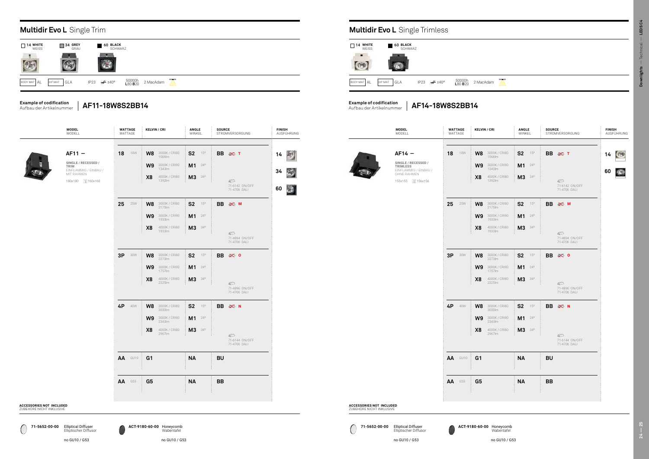0 **71-5652-00-00 ACT-9180-60-00 71-5652-00-00 ACT-9180-60-00** Elliptical Diffuser Elliptischer Diffusor

| <b>MODEL</b><br>MODELL                                                                            | <b>WATTAGE</b><br>WATTAGE | <b>KELVIN / CRI</b>                                                                                             | ANGLE<br>WINKEL                              | <b>SOURCE</b><br>STROMVERSORGUNG                              | <b>FINISH</b><br>AUSFÜHRUNG                   |                                                             | <b>MODEL</b><br>MODELL                                                                                 | <b>WATTAGE</b><br>WATTAGE | <b>KELVIN / CRI</b>                                      |
|---------------------------------------------------------------------------------------------------|---------------------------|-----------------------------------------------------------------------------------------------------------------|----------------------------------------------|---------------------------------------------------------------|-----------------------------------------------|-------------------------------------------------------------|--------------------------------------------------------------------------------------------------------|---------------------------|----------------------------------------------------------|
| $AF11 -$<br>SINGLE / RECESSED /<br>TRIM<br>EINFLAMMIG / EINBAU /<br>MIT RAHMEN<br>180x180 160x160 | <b>18</b> 18W             | <b>W8</b> 3000K/CRI80<br>1566lm<br>W9<br>3000K / CRI90<br>1343lm<br>X <sub>8</sub><br>4000K / CRI80<br>1392lm   | $S2$ 15°<br>$M1^{240}$<br><b>M3</b> 34°      | BB ⊗ T<br>$\mathcal{D}$<br>71-6142 ON/OFF<br>71-4706 DALI     | 题<br>14<br>$34$ $\odot$<br>$\mathbb{Z}$<br>60 |                                                             | $AF14 -$<br>SINGLE / RECESSED /<br>TRIMLESS<br>EINFLAMMIG / EINBAU /<br>OHNE RAHMEN<br>155x155 156x156 | 18<br>18W                 | $W8$ 3000<br>$W9$ 3000<br>4000<br>X <sub>8</sub><br>1392 |
|                                                                                                   | $25 - 25W$                | <b>W8</b> 3000K/CRI80<br>2175lm<br>W9<br>3000K / CRI90<br>1933lm<br>X <sub>8</sub><br>4000K / CRI80<br>1933lm   | $S2$ 15°<br>$M1$ $^{24^{\circ}}$<br>M3 34°   | BB ※ M<br>$\circledcirc$<br>71-4894 ON/OFF<br>71-4706 DALI    |                                               |                                                             |                                                                                                        | $25 - 25W$                | $W8$ 3000<br>$W9$ 3000<br>X <sub>8</sub><br>4000<br>1933 |
|                                                                                                   | 3P 30W                    | <b>W8</b> 3000K / CRI80<br>2273lm<br>3000K / CRI90<br>W9<br>1757lm<br>X <sub>8</sub><br>4000K / CRI80<br>2225lm | $S2$ 15°<br>$M1$ $^{24^{\circ}}$<br>M3 34°   | BB $\gg$ 0<br>$\mathcal{D}$<br>71-4896 ON/OFF<br>71-4706 DALI |                                               |                                                             |                                                                                                        | 3P 30W                    | $W8$ 3000<br>$W9$ 3000<br>$4000$<br>$2225$<br>X8         |
|                                                                                                   | 4P 40W                    | <b>W8</b> 3000K / CRI80<br>3030lm<br>W9<br>3000K / CRI90<br>2343lm<br>X <sub>8</sub><br>4000K / CRI80<br>2967lm | $S2$ 15°<br><b>M1</b> $24^{\circ}$<br>M3 34° | BB 宓 N<br>$\bigcirc$<br>71-6144 ON/OFF<br>71-4706 DALI        |                                               |                                                             |                                                                                                        | 4P 40W                    | $W8$ 3000<br>$W9$ 3000<br>4000<br>X8<br>2967             |
|                                                                                                   | AA GU10                   | G <sub>1</sub>                                                                                                  | <b>NA</b>                                    | <b>BU</b>                                                     |                                               |                                                             |                                                                                                        | AA GU10                   | G <sub>1</sub>                                           |
| S NOT INCLUDED<br>CHT INKLUSIVE                                                                   | <b>AA</b> G53             | G <sub>5</sub>                                                                                                  | <b>NA</b>                                    | <b>BB</b>                                                     |                                               | <b>ACCESSORIES NOT INCLUDED</b><br>ZUREHÖRE NICHT INKLUSIVE |                                                                                                        | <b>AA</b> G53             | G <sub>5</sub>                                           |

#### **ACCESSORIES** ZUBEHÖRE NIC





#### **Example of codification** Aufbau der Artikelnummer

**Example of codification** Aufbau der Artikelnummer

**AF14-18W8S2BB14**

|                   | <b>Multidir Evo L</b> Single Trim |                                          |           |  |  |  |  |  |  |  |  |
|-------------------|-----------------------------------|------------------------------------------|-----------|--|--|--|--|--|--|--|--|
| 14 WHITE<br>WEISS | 34 GREY<br>H<br>GRAU              | <b>60 BLACK</b><br>SCHWARZ               |           |  |  |  |  |  |  |  |  |
|                   |                                   |                                          |           |  |  |  |  |  |  |  |  |
| BODY MAT AL       | DIF MAT<br>GLA                    | 50000h<br>L80 B20<br>$\neq$ ±40°<br>IP23 | 2 MacAdam |  |  |  |  |  |  |  |  |

| ANGLE<br>WINKEL                                   | <b>SOURCE</b><br>STROMVERSORGUNG                             | <b>FINISH</b><br>AUSFÜHRUNG               |                                                             | <b>MODEL</b><br>MODELL                                                                                 | <b>WATTAGE</b><br>WATTAGE |            | <b>KELVIN / CRI</b>                                                                                                                 | <b>ANGLE</b><br>WINKEL                                                     | <b>SOURCE</b> | STROMVERSOR                                  |
|---------------------------------------------------|--------------------------------------------------------------|-------------------------------------------|-------------------------------------------------------------|--------------------------------------------------------------------------------------------------------|---------------------------|------------|-------------------------------------------------------------------------------------------------------------------------------------|----------------------------------------------------------------------------|---------------|----------------------------------------------|
| $S2$ 15°<br>$M1 - 24^{\circ}$<br><b>M3</b> 34°    | BB ※ T<br>€<br>71-6142 ON/OFF<br>71-4706 DALI                | 14<br>渺<br>34<br>高り<br>$\mathbf{x}$<br>60 |                                                             | $AF14 -$<br>SINGLE / RECESSED /<br>TRIMLESS<br>EINFLAMMIG / EINBAU /<br>OHNE RAHMEN<br>155x155 156x156 | 18                        | <b>18W</b> | 3000K / CRI80<br>W8<br>1566lm<br>3000K / CRI90<br>W <sub>9</sub><br>1343lm<br>X <sub>8</sub><br>4000K / CRI80<br>1392lm             | S <sub>2</sub><br>$15^{\circ}$<br>M1<br>$24^{\circ}$<br>M3<br>$34^{\circ}$ |               | BB ≥ T<br>©<br>71-6142<br>71-4706            |
| $S2$ 15°<br>$M1$ $^{24^{\circ}}$<br><b>M3</b> 34° | BB $\gg$ M<br>©<br>71-4894 ON/OFF<br>71-4706 DALI            |                                           |                                                             |                                                                                                        | 25                        | 25W        | 3000K / CRI80<br>W8<br>2175lm<br>W9<br>3000K / CRI90<br>1933lm<br>X <sub>8</sub><br>4000K / CRI80<br>1933Im                         | $15^{\circ}$<br>S <sub>2</sub><br>$M1$ $^{24^{\circ}}$<br>M3 34°           |               | BB ※ M<br>$\mathbb{Z}$<br>71-4894<br>71-4706 |
| $S2$ 15°<br>$M1$ $^{24^{\circ}}$<br><b>M3</b> 34° | BB $\gg$ 0<br>€<br>71-4896 ON/OFF<br>71-4706 DALI            |                                           |                                                             |                                                                                                        | 3P                        | 30W        | W8<br>3000K / CRI80<br>2273lm<br>W <sub>9</sub><br>3000K / CRI90<br>1757lm<br>X <sub>8</sub><br>4000K / CRI80<br>2225lm             | S <sub>2</sub><br>$15^{\circ}$<br>$M1 24^{\circ}$<br>M3<br>$34^{\circ}$    | <b>BB</b>     | $\gg 0$<br>⊕<br>71-4896<br>71-4706           |
| $S2$ 15°<br>$M1$ $^{24^{\circ}}$<br><b>M3</b> 34° | BB $\gg$ N<br>$\mathbb{Z}$<br>71-6144 ON/OFF<br>71-4706 DALI |                                           |                                                             |                                                                                                        | 4P                        | 40W        | W <sub>8</sub><br>3000K / CRI80<br>3030lm<br>W <sub>9</sub><br>3000K / CRI90<br>2343lm<br>X <sub>8</sub><br>4000K / CRI80<br>2967lm | S <sub>2</sub><br>$15^{\circ}$<br>$M1$ $^{24^{\circ}}$<br>M3 34°           |               | BB <>>>>>>>> N<br>⊕<br>71-6144<br>71-4706    |
| <b>NA</b>                                         | <b>BU</b>                                                    |                                           |                                                             |                                                                                                        |                           | AA GU10    | G <sub>1</sub>                                                                                                                      | <b>NA</b>                                                                  | <b>BU</b>     |                                              |
| <b>NA</b>                                         | <b>BB</b>                                                    |                                           | <b>ACCESSORIES NOT INCLUDED</b><br>ZUBEHÖRE NICHT INKLUSIVE |                                                                                                        | AA                        | G53        | G5                                                                                                                                  | <b>NA</b>                                                                  | <b>BB</b>     |                                              |
|                                                   |                                                              |                                           | 71-5652-00-00 Elliptical Diffuser                           |                                                                                                        |                           |            | ACT-9180-60-00 Honeycomb                                                                                                            |                                                                            |               |                                              |

Elliptischer Diffusor



Honeycomb Wabentafel

## **Multidir Evo L** Single Trimless

**AF11-18W8S2BB14**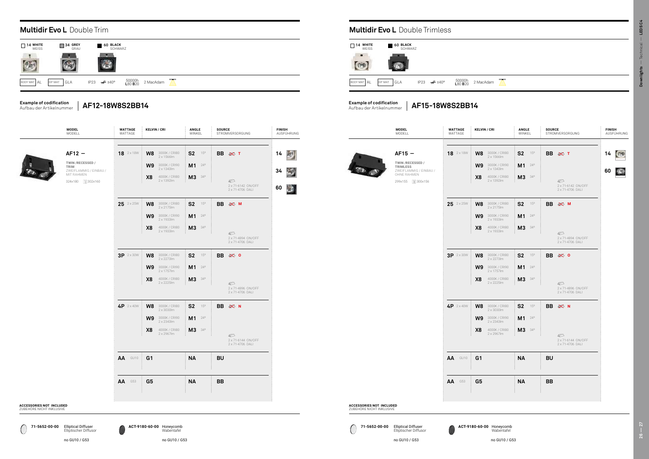no GU10 / G53 no GU10 / G53

dam  $\sum$ 

C **71-5652-00-00 ACT-9180-60-00 71-5652-00-00 ACT-9180-60-00** Elliptical Diffuser Elliptischer Diffusor Elliptical Diffuser Elliptischer Diffusor



|      | MODELL                                   | <b>WATTAGE</b><br>WATTAGE | <b>KELVIN / CRI</b>                                   | <b>ANGLE</b><br>WINKEL         | <b>SOURCE</b><br>STROMVERSORGUNG       | <b>FINISH</b><br>AUSFÜHRUNG |
|------|------------------------------------------|---------------------------|-------------------------------------------------------|--------------------------------|----------------------------------------|-----------------------------|
|      | $AF12 -$                                 | 18 2 x 18W                | W <sub>8</sub><br>3000K / CRI80<br>$2 \times 1566$ lm | <b>S2</b><br>15°               | <b>BB</b> ⊗ T                          | 14                          |
| TRIM | TWIN/RECESSED/<br>ZWEIFLAMMIG / EINBAU / |                           | 3000K / CRI90<br>W <sub>9</sub><br>2 x 1343lm         | M <sub>1</sub><br>$24^{\circ}$ |                                        | 34                          |
|      | MIT RAHMEN<br>324x180 1302x160           |                           | X <sub>8</sub><br>4000K / CRI80<br>2 x 1392lm         | M <sub>3</sub><br>$34^{\circ}$ | ©                                      |                             |
|      |                                          |                           |                                                       |                                | 2 x 71-6142 ON/OFF<br>2 x 71-4706 DALI | 60                          |
|      |                                          | $25$ $2 \times 25W$       | 3000K / CRI80<br>W <sub>8</sub><br>2 x 2175lm         | <b>S2</b><br>15°               | BB $\gg$ M                             |                             |
|      |                                          |                           | 3000K / CRI90<br>W <sub>9</sub><br>2 x 1933lm         | M <sub>1</sub><br>$24^{\circ}$ |                                        |                             |
|      |                                          |                           | X <sub>8</sub><br>4000K / CRI80<br>2 x 1933lm         | M <sub>3</sub><br>$34^{\circ}$ | ©                                      |                             |
|      |                                          |                           |                                                       |                                | 2 x 71-4894 ON/OFF<br>2 x 71-4706 DALI |                             |
|      |                                          | 3P 2 x 30W                | W <sub>8</sub><br>3000K / CRI80<br>2 x 2273lm         | S <sub>2</sub><br>15°          | BB $\gg$ 0                             |                             |
|      |                                          |                           | 3000K / CRI90<br>W <sub>9</sub><br>2 x 1757lm         | M <sub>1</sub><br>$24^{\circ}$ |                                        |                             |
|      |                                          |                           | X <sub>8</sub><br>4000K / CRI80<br>2 x 2225lm         | M <sub>3</sub><br>$34^{\circ}$ | ©                                      |                             |
|      |                                          |                           |                                                       |                                | 2 x 71-4896 ON/OFF<br>2 x 71-4706 DALI |                             |
|      |                                          | 4P 2 x 40W                | W <sub>8</sub><br>3000K / CRI80<br>2 x 3030lm         | <b>S2</b><br>15°               | BB $\gg$ N                             |                             |
|      |                                          |                           | W <sub>9</sub><br>3000K / CRI90<br>2 x 2343lm         | M <sub>1</sub><br>$24^{\circ}$ |                                        |                             |
|      |                                          |                           | X <sub>8</sub><br>4000K / CRI80<br>2 x 2967lm         | M <sub>3</sub><br>$34^{\circ}$ | ©                                      |                             |
|      |                                          |                           |                                                       |                                | 2 x 71-6144 ON/OFF<br>2 x 71-4706 DALI |                             |
|      |                                          | AA<br>GU10                | G <sub>1</sub>                                        | <b>NA</b>                      | <b>BU</b>                              |                             |
|      |                                          | AA<br>G53                 | G <sub>5</sub>                                        | <b>NA</b>                      | <b>BB</b>                              |                             |
|      |                                          |                           |                                                       |                                |                                        |                             |
|      |                                          |                           |                                                       |                                |                                        |                             |

|                        | <b>Multidir Evo L</b> Double Trim |                                               |           |
|------------------------|-----------------------------------|-----------------------------------------------|-----------|
| П<br>14 WHITE<br>WEISS | $\sqrt{ }$ 34 GREY<br>GRAU        | $\blacksquare$ 60 BLACK<br>SCHWARZ            |           |
|                        |                                   |                                               |           |
| BODY MAT AL            | GLA<br>DIF MAT                    | 50000h<br>L80 B20<br>$\neq 140^\circ$<br>IP23 | 2 MacAdam |

#### **Multidir Evo L** Double Trimless

|                                                             | <b>MODEL</b><br>MODELL                                                                                         | <b>WATTAGE</b><br>WATTAGE | <b>KELVIN / CRI</b>                    |                                                                                           |
|-------------------------------------------------------------|----------------------------------------------------------------------------------------------------------------|---------------------------|----------------------------------------|-------------------------------------------------------------------------------------------|
|                                                             | $AF15 -$<br>TWIN/RECESSED/<br><b>TRIMLESS</b><br>ZWEIFLAMMIG / EINBAU /<br>OHNE RAHMEN<br>□ 300x156<br>299x155 | 18 2 x 18W                | W8<br>W <sub>9</sub><br>X <sub>8</sub> | 3000K / CRI80<br>2 x 1566lm<br>3000K / CRI90<br>2 x 1343lm<br>4000K / CRI80<br>2 x 1392lm |
|                                                             |                                                                                                                |                           |                                        | 3000K / CRI80                                                                             |
|                                                             |                                                                                                                | $25$ $2 \times 25W$       | W8                                     | 2 x 2175 lm                                                                               |
|                                                             |                                                                                                                |                           | W <sub>9</sub>                         | 3000K / CRI90<br>2 x 1933lm                                                               |
|                                                             |                                                                                                                |                           | X <sub>8</sub>                         | 4000K / CRI80<br>2 x 1933 lm                                                              |
|                                                             |                                                                                                                | $3P$ 2 x 30 W             | W8                                     | 3000K / CRI80<br>2 x 2273lm                                                               |
|                                                             |                                                                                                                |                           | W <sub>9</sub>                         | 3000K / CRI90<br>2 x 1757lm                                                               |
|                                                             |                                                                                                                |                           | X <sub>8</sub>                         | 4000K / CRI80<br>2 x 2225 lm                                                              |
|                                                             |                                                                                                                | $4P 2 \times 40W$         | W <sub>8</sub>                         | 3000K / CRI80<br>2 x 3030lm                                                               |
|                                                             |                                                                                                                |                           | W <sub>9</sub>                         | 3000K / CRI90<br>2 x 2343lm                                                               |
|                                                             |                                                                                                                |                           | X <sub>8</sub>                         | 4000K / CRI80<br>2 x 2967lm                                                               |
|                                                             |                                                                                                                | AA<br>GU10                | G <sub>1</sub>                         |                                                                                           |
|                                                             |                                                                                                                | G53<br>AA                 | G <sub>5</sub>                         |                                                                                           |
| <b>ACCESSORIES NOT INCLUDED</b><br>ZUBEHÖRE NICHT INKLUSIVE |                                                                                                                |                           | ŧ                                      |                                                                                           |

**ACCESSORIES** ZUBEHÖRE NIC

#### **Example of codification** Aufbau der Artikelnummer

**Example of codification** Aufbau der Artikelnummer

| 14                 | <b>WHITE</b><br><b>WEISS</b> | 60 BLACK<br><b>SCHWARZ</b> |                          |                   |          |
|--------------------|------------------------------|----------------------------|--------------------------|-------------------|----------|
| <b>BODY MAT AL</b> | DIF MAT                      | GLA                        | IP23 $\cancel{\pi}$ ±40° | 50000h<br>L80 B20 | 2 MacAda |

Honeycomb Wabentafel

**AF12-18W8S2BB14**

**AF15-18W8S2BB14**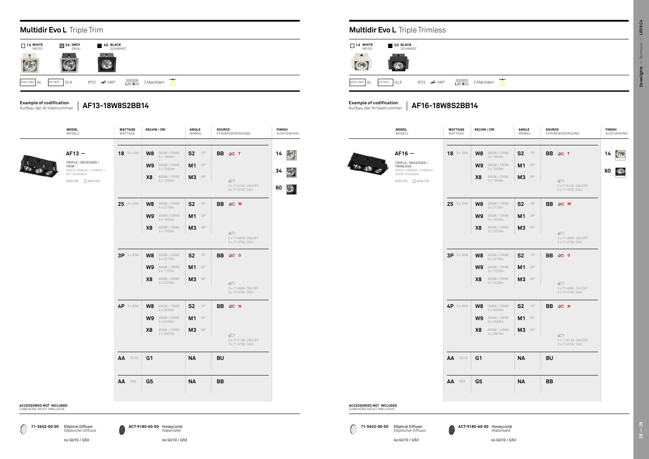|                                                             | <b>MODEL</b><br>Modell                                                                                     | <b>WATTAGE</b><br>WATTAGE | <b>KELVIN / CRI</b>                                                                                                             | <b>ANGLE</b><br>WINKEL                                             | <b>SOURCE</b><br>STROMVERSORGUNG                                                 | <b>FINISH</b><br>AUSFÜHRUNG | <b>MODEL</b><br>Modell                                                                                   | <b>WATTAGE</b><br>WATTAGE | <b>KELVIN / CRI</b>                                                                     |
|-------------------------------------------------------------|------------------------------------------------------------------------------------------------------------|---------------------------|---------------------------------------------------------------------------------------------------------------------------------|--------------------------------------------------------------------|----------------------------------------------------------------------------------|-----------------------------|----------------------------------------------------------------------------------------------------------|---------------------------|-----------------------------------------------------------------------------------------|
|                                                             | $AF13 -$<br>TRIPLE / RECESSED /<br><b>TRIM</b><br>DREIFLAMMIG / EINBAU /<br>MIT RAHMEN<br>468x180 1445x160 | 18 3 x 18W                | <b>W8</b> 3000K/CRI80<br>3 x 1566lm<br>$\text{W9}$ 3000K / CRI90<br>3 x 1343lm<br>X <sub>8</sub><br>4000K / CRI80<br>3 x 1392lm | S <sub>2</sub><br>$15^{\circ}$<br>$M1$ $^{24^{\circ}}$<br>$M3$ 34° | BB ≥ T<br>$\circledcirc$<br>3 x 71-6142 ON/OFF<br>3 x 71-4706 DALI               | 14<br>a.<br>34<br>60        | $AF16 -$<br>TRIPLE / RECESSED /<br>TRIMLESS<br>DREIFLAMMIG / EINBAU /<br>OHNE RAHMEN<br>443x155 1444x156 | <b>18</b> 3 x 18W         | <b>W8</b> 3000<br>$W9$ 3000<br>X8<br>$\begin{array}{c} 4000 \\ 3 \times 1 \end{array}$  |
|                                                             |                                                                                                            | $25$ $3 \times 25W$       | <b>W8</b> 3000K/CRI80<br>3 x 2175lm<br><b>W9</b> 3000K/CRI90<br>3 x 1933lm<br>X8<br>4000K / CRI80<br>3 x 1933lm                 | $S2$ 15°<br>$M1$ $^{24^{\circ}}$<br>$M3$ 34°                       | <b>BB</b><br>$\gg$ M<br>$\circledcirc$<br>3 x 71-4894 ON/OFF<br>3 x 71-4706 DALI |                             |                                                                                                          | $25$ $3 \times 25W$       | $W8$ 3000<br>$W9$ 3000<br>X8<br>$\begin{array}{c} 4000 \\ 3 \times 1 \end{array}$       |
|                                                             |                                                                                                            | $3P$ 3 x 30 W             | <b>W8</b> 3000K/CRI80<br>3 x 2273lm<br><b>W9</b> 3000K/CRI90<br>3 x 1757lm<br>X <sub>8</sub><br>4000K / CRI80<br>3 x 2225lm     | $S2$ 15°<br>$M1$ $^{24^{\circ}}$<br>M3 34°                         | BB ※ 0<br>$\circledcirc$<br>3 x 71-4896 ON/OFF<br>3 x 71-4706 DALI               |                             |                                                                                                          | 3P 3×30W                  | <b>W8</b> 3000<br>$W9$ 3000<br><b>X8</b> $^{4000}_{3 \times 2}$                         |
|                                                             |                                                                                                            | 4P 3 x 40W                | <b>W8</b> 3000K/CRI80<br>3 x 3030lm<br>$\text{W9}$ 3000K / CRI90<br>3 x 2343lm<br>X8<br>4000K / CRI80<br>3 x 2967lm             | $S2$ $15^\circ$<br><b>M1</b> $24^{\circ}$<br>M3 34°                | BB $\gg$ N<br>$\circledcirc$<br>3 x 71-6144 ON/OFF<br>3 x 71-4706 DALI           |                             |                                                                                                          | 4P 3 x 40W                | <b>W8</b> $\frac{3000}{3 \times 3}$<br><b>W9</b> $\frac{3000}{3 \times 2}$<br>$X8$ 4000 |
|                                                             |                                                                                                            | AA GU10                   | G <sub>1</sub><br>$\ddot{\phantom{0}}$                                                                                          | <b>NA</b><br>and the control                                       | <b>BU</b><br>and the con-                                                        |                             |                                                                                                          | AA GU10                   | G <sub>1</sub>                                                                          |
|                                                             |                                                                                                            | <b>AA</b> G53             | G <sub>5</sub>                                                                                                                  | <b>NA</b>                                                          | <b>BB</b>                                                                        |                             |                                                                                                          | <b>AA</b> G53             | G <sub>5</sub>                                                                          |
| <b>ACCESSORIES NOT INCLUDED</b><br>ZUREHÖRE NICHT INKLUSIVE |                                                                                                            |                           |                                                                                                                                 |                                                                    |                                                                                  |                             | <b>ACCESSORIES NOT INCLUDED</b><br>ZUREHÖRE NICHT INKLUSIVE                                              |                           |                                                                                         |

#### **Multidir Evo L** Triple Trim **Multidir Evo L** Triple Trimless **14 WHITE 34 GREY 60**<br>WEISS GRAU **WHITE** WEISS **BLACK** SCHWARZ  $\mathbb{R}^n$  $\overline{\phantom{a}}$  $\mathbb{R}$ O  $(25)$  $\left($ BODY MAT  $AL$  DIF MAT GLA IP23  $\neq 140^{\circ}$ 50000h L80 B20 2 MacAdam

| ANGLE<br>WINKEL                                   | <b>SOURCE</b><br>STROMVERSORGUNG                                      | <b>FINISH</b><br>AUSFÜHRUNG                     |                                                             | <b>MODEL</b><br>MODELL                                                                                           | <b>WATTAGE</b><br>WATTAGE | <b>KELVIN / CRI</b>                                                                                                                         | ANGLE<br>WINKEL                                                              | <b>SOURCE</b><br>STROMVERSOR                                                     |
|---------------------------------------------------|-----------------------------------------------------------------------|-------------------------------------------------|-------------------------------------------------------------|------------------------------------------------------------------------------------------------------------------|---------------------------|---------------------------------------------------------------------------------------------------------------------------------------------|------------------------------------------------------------------------------|----------------------------------------------------------------------------------|
| $S2$ 15°<br>$M1$ $^{24^{\circ}}$<br>M3 34°        | BB ※ T<br>ا<br>3 x 71-6142 ON/OFF<br>3 x 71-4706 DALI                 | 膠<br>14<br>$\geq 0$<br>34<br>$\mathbf{x}$<br>60 |                                                             | $AF16 -$<br>TRIPLE / RECESSED /<br><b>TRIMLESS</b><br>DREIFLAMMIG / EINBAU /<br>OHNE RAHMEN<br>443x155 1 444x156 | 18 3 x 18W                | 3000K / CRI80<br>W8<br>3 x 1566lm<br>3000K / CRI90<br>W <sub>9</sub><br>3 x 1343lm<br>X <sub>8</sub><br>4000K / CRI80<br>3 x 1392lm         | $15^{\circ}$<br>S <sub>2</sub><br>M1<br>$24^{\circ}$<br>M3<br>$34^\circ$     | BB ≥ T<br>$\mathbb{Z}$<br>$3 \times 71 - 61$<br>$3 \times 71 - 47$               |
| $S2$ 15°<br>$M1 - 24^{\circ}$<br>M3 34°           | BB $\gg$ M<br>$\mathcal{D}$<br>3 x 71-4894 ON/OFF<br>3 x 71-4706 DALI |                                                 |                                                             |                                                                                                                  | $25$ $3 \times 25W$       | 3000K / CRI80<br>W8<br>$3 \times 2175$ lm<br>3000K / CRI90<br>W9<br>3 x 1933 lm<br>X <sub>8</sub><br>4000K / CRI80<br>3 x 1933 lm           | S <sub>2</sub><br>$15^{\circ}$<br>M1<br>$24^{\circ}$<br>M3<br>$34^{\circ}$   | <b>BB</b><br>IXX M<br>$\mathbb{Z}$<br>$3 \times 71 - 48$<br>$3 \times 71 - 47$   |
| $S2$ 15°<br>$M1 - 24^{\circ}$<br>M3 34°           | BB $\gg$ 0<br>€<br>3 x 71-4896 ON/OFF<br>3 x 71-4706 DALI             |                                                 |                                                             |                                                                                                                  | 3P 3 x 30W                | W8<br>3000K / CRI80<br>3 x 2273lm<br>W <sub>9</sub><br>3000K / CRI90<br>$3 \times 1757$ lm<br>X <sub>8</sub><br>4000K / CRI80<br>3 x 2225lm | S <sub>2</sub><br>$15^{\circ}$<br>M1<br>$24^{\circ}$<br>M3 34°               | <b>BB</b><br>$\gg 0$<br>$\mathbb{Z}$<br>$3 \times 71 - 48$<br>$3 \times 71 - 47$ |
| $S2$ 15°<br>$M1$ $^{24^{\circ}}$<br><b>M3</b> 34° | BB $\gg$ N<br>☎<br>3 x 71-6144 ON/OFF                                 |                                                 |                                                             |                                                                                                                  | 4P 3 x 40W                | 3000K / CRI80<br>W8<br>3 x 3030lm<br>W9<br>3000K / CRI90<br>$3 \times 2343$ lm<br>X <sub>8</sub><br>4000K / CRI80<br>3 x 2967lm             | S <sub>2</sub><br>$15^{\circ}$<br>$M1$ $^{24^{\circ}}$<br>M3<br>$34^{\circ}$ | <b>BB</b><br>$\gg$ N<br>$\mathbb{Z}$<br>$3 \times 71 - 61$                       |
| <b>NA</b>                                         | 3 x 71-4706 DALI<br><b>BU</b>                                         |                                                 |                                                             |                                                                                                                  | AA GU10                   | G <sub>1</sub>                                                                                                                              | <b>NA</b>                                                                    | $3 \times 71 - 47$<br><b>BU</b>                                                  |
| <b>NA</b>                                         | <b>BB</b>                                                             |                                                 |                                                             |                                                                                                                  | AA<br>G53                 | G <sub>5</sub>                                                                                                                              | <b>NA</b>                                                                    | <b>BB</b>                                                                        |
|                                                   |                                                                       |                                                 | <b>ACCESSORIES NOT INCLUDED</b><br>ZUBEHÖRE NICHT INKLUSIVE |                                                                                                                  |                           |                                                                                                                                             |                                                                              |                                                                                  |

ZUBEHÖRE NIC

C





#### **Example of codification** Aufbau der Artikelnummer

**Example of codification** Aufbau der Artikelnummer

**AF16-18W8S2BB14**

Elliptischer Diffusor

Honeycomb Wabentafel

**AF13-18W8S2BB14**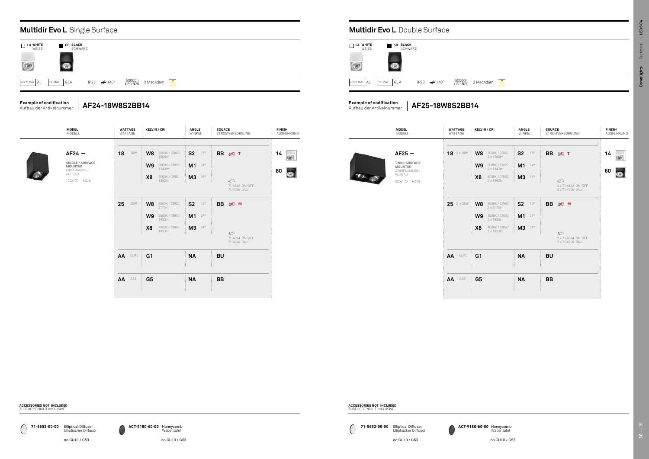$\overline{\phantom{a}}$ 



**ACCESSORIES NOT INCLUDED** ZUBEHÖRE NICHT INKLUSIVE

**ACCESSORIES NOT INCLUDED** ZUBEHÖRE NICHT INKLUSIVE

| <b>ANGLE</b><br>WINKEL                            | <b>SOURCE</b><br>STROMVERSORGUNG                             | <b>FINISH</b><br>AUSFÜHRUNG | <b>MODEL</b><br>MODELL                                                                       | <b>WATTAGE</b><br>WATTAGE | <b>KELVIN / CRI</b>                                                                                                     | ANGLE<br>WINKEL                                                  | <b>SOURCE</b><br>STROMVERSORGUNG                                     | <b>FIN</b><br>AU: |
|---------------------------------------------------|--------------------------------------------------------------|-----------------------------|----------------------------------------------------------------------------------------------|---------------------------|-------------------------------------------------------------------------------------------------------------------------|------------------------------------------------------------------|----------------------------------------------------------------------|-------------------|
| $S2$ 15°<br>$M1$ $24^\circ$<br><b>M3</b> 34°      | <b>BB</b><br><b>※ T</b><br>$\mathcal{D}$                     | 14<br>no.<br>60<br>ø        | $AF25 -$<br><b>TWIN/SURFACE</b><br><b>MOUNTED</b><br>ZWEIFLAMMIG /<br>AUFBAU<br>320x170 H210 | <b>18</b> 2 x 18W         | W8<br>3000K / CRI80<br>2 x 1566lm<br>W9<br>3000K / CRI90<br>2 x 1343lm<br>4000K / CRI80<br>X <sub>8</sub><br>2 x 1392lm | S <sub>2</sub><br>$15^{\circ}$<br>$M1$ $^{24^{\circ}}$<br>M3 34° | BB ⊗ T<br>$\mathcal{D}$                                              | 14<br>60          |
| $S2$ 15°<br>$M1$ $^{24^{\circ}}$<br><b>M3</b> 34° | 71-6142 ON/OFF<br>71-4706 DALI<br><b>BB</b><br>$\gg M$       |                             |                                                                                              | $25$ $2 \times 25W$       | W8<br>3000K / CRI80<br>$2 \times 2175$ lm<br>W9<br>3000K / CRI90<br>2 x 1933 lm<br>X <sub>8</sub><br>4000K / CRI80      | S <sub>2</sub><br>15°<br>$M1$ $^{24^{\circ}}$<br>M3 34°          | 2 x 71-6142 ON/OFF<br>2 x 71-4706 DALI<br><b>BB</b><br>$\otimes$ M   |                   |
| <b>NA</b>                                         | $\mathcal{D}$<br>71-4894 ON/OFF<br>71-4706 DALI<br><b>BU</b> |                             |                                                                                              | AA<br>GU10                | 2 x 1933lm<br>G <sub>1</sub>                                                                                            | <b>NA</b>                                                        | $\mathcal{D}$<br>2 x 71-4894 ON/OFF<br>2 x 71-4706 DALI<br><b>BU</b> |                   |
| <b>NA</b>                                         | <b>BB</b>                                                    |                             |                                                                                              | AA<br>G53                 | G <sub>5</sub>                                                                                                          | <b>NA</b>                                                        | <b>BB</b>                                                            |                   |

| <b>MODEL</b><br>Modell                                                                   | <b>WATTAGE</b><br>WATTAGE | <b>KELVIN / CRI</b>                                                                                         | ANGLE<br>WINKEL                                                            | <b>SOURCE</b><br>STROMVERSORGUNG                                        | <b>FINISH</b><br>AUSFÜHRUNG |                | <b>MODEL</b><br>MODELL                                                                       | <b>WATTAGE</b><br>WATTAGE | <b>KELVIN / CRI</b>                                                               |
|------------------------------------------------------------------------------------------|---------------------------|-------------------------------------------------------------------------------------------------------------|----------------------------------------------------------------------------|-------------------------------------------------------------------------|-----------------------------|----------------|----------------------------------------------------------------------------------------------|---------------------------|-----------------------------------------------------------------------------------|
| $AF24 -$<br>SINGLE / SURFACE<br><b>MOUNTED</b><br>EINFLAMMIG /<br>AUFBAU<br>170x170 H210 | 18<br><b>18W</b>          | W8<br>3000K / CRI80<br>1566lm<br>W9<br>3000K / CRI90<br>1343lm<br>4000K / CRI80<br>X <sub>8</sub><br>1392lm | <b>S2</b><br>$15^{\circ}$<br>M1<br>$24^{\circ}$<br>M3<br>$34^{\circ}$      | <b>BB</b><br>$\gg$ T<br>$\mathcal{D}$<br>71-6142 ON/OFF<br>71-4706 DALI | 14<br>$\vec{r}$<br>60<br>Ø  | $\sum_{i=1}^n$ | $AF25 -$<br><b>TWIN/SURFACE</b><br><b>MOUNTED</b><br>ZWEIFLAMMIG /<br>AUFBAU<br>320x170 H210 | <b>18</b> $2 \times 18W$  | W8<br>$\frac{3000}{2 \times 1}$<br>$W9$ 3000<br>X8<br>4000<br>$2 \times 1$        |
|                                                                                          | 25<br><b>25W</b>          | 3000K / CRI80<br>W8<br>2175lm<br>W9<br>3000K / CRI90<br>1933lm<br>X <sub>8</sub><br>4000K / CRI80<br>1933lm | S <sub>2</sub><br>$15^{\circ}$<br>M1<br>$24^{\circ}$<br>M3<br>$34^{\circ}$ | <b>BB</b><br>$\gg M$<br>$\bigcirc$<br>71-4894 ON/OFF<br>71-4706 DALI    |                             |                |                                                                                              | $25$ $2 \times 25W$       | $W8$ 3000<br>$W9$ 3000<br>X8<br>$\begin{array}{c} 4000 \\ 2 \times 1 \end{array}$ |
|                                                                                          | AA GU10<br><b>AA</b> G53  | G <sub>1</sub><br>G <sub>5</sub>                                                                            | <b>NA</b><br><b>NA</b>                                                     | <b>BU</b><br><b>BB</b>                                                  |                             |                |                                                                                              | AA<br>GU10<br>AA<br>G53   | G <sub>1</sub><br>G <sub>5</sub>                                                  |

### **Multidir Evo L** Single Surface **Multidir Evo L** Double Surface

| <b>WHITE</b><br>14<br>WEISS | 60             | <b>BLACK</b><br><b>SCHWARZ</b> |                          |                           |          |
|-----------------------------|----------------|--------------------------------|--------------------------|---------------------------|----------|
|                             |                |                                |                          |                           |          |
| BODY MAT AL                 | GLA<br>DIF MAT |                                | IP23 $\cancel{\pi}$ ±40° | 50000h<br>L80 <b>B</b> 20 | 2 MacAda |



#### **Example of codification** Aufbau der Artikelnummer

**Example of codification AF24-18W8S2BB14** Aufbau der Artikelnummer **AF25-18W8S2BB14**

**71-5652-00-00 ACT-9180-60-00 71-5652-00-00 ACT-9180-60-00** Elliptical Diffuser Elliptischer Diffusor



Honeycomb Wabentafel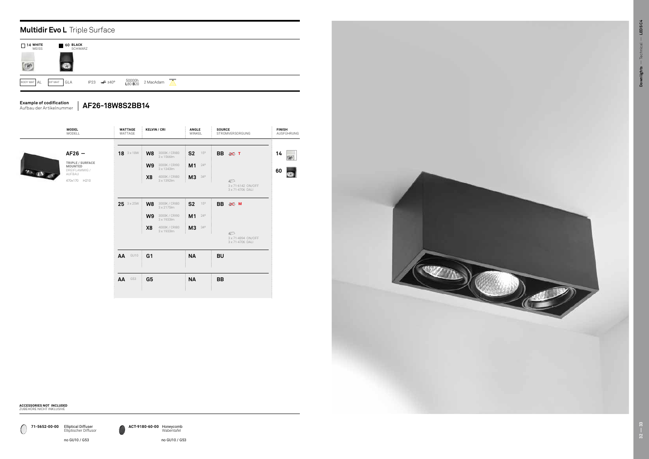

### **Multidir Evo L** Triple Surface

no GU10 / G53 no GU10 / G53





**ACCESSORIES NOT INCLUDED** ZUBEHÖRE NICHT INKLUSIVE

0 **71-5652-00-00 ACT-9180-60-00** Elliptical Diffuser Elliptischer Diffusor

## **Example of codification**

Aufbau der Artikelnummer **AF26-18W8S2BB14**

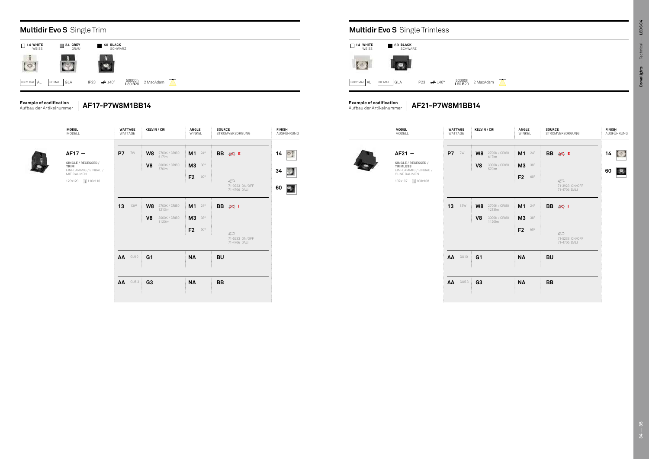| <b>KELVIN / CRI</b>                                | <b>ANGLE</b><br>WINKEL                 | <b>SOURCE</b><br>STROMVERSORGUNG                   | <b>FINISH</b><br>AUSFÜHRUNG | <b>MODEL</b><br>Modell                                                                                        | <b>WATTAGE</b><br>WATTAGE | <b>KELVIN / CRI</b>                                          | <b>ANGLE</b><br>WINKEL                             | <b>SOURCE</b><br>STROMVERSORGUNG                 | <b>FINISH</b><br>AUSFÜHRUNG        |
|----------------------------------------------------|----------------------------------------|----------------------------------------------------|-----------------------------|---------------------------------------------------------------------------------------------------------------|---------------------------|--------------------------------------------------------------|----------------------------------------------------|--------------------------------------------------|------------------------------------|
| $W8$ 2700K / CRI80<br>V8<br>3000K / CRI80<br>570lm | M1 24°<br><b>M3</b> 38°<br>F2<br>60°   | <b>BB</b><br>$\otimes$ E<br>$\circledcirc$         | $14$ $\circ$<br>34          | $AF21 -$<br>SINGLE / RECESSED /<br><b>TRIMLESS</b><br>EINFLAMMIG / EINBAU /<br>OHNE RAHMEN<br>107x107 108x108 | <b>P7</b><br>7W           | W8<br>2700K / CRI80<br>617lm<br>V8<br>3000K / CRI80<br>570lm | $M1$ $^{24^{\circ}}$<br><b>M3</b> 38°<br>F2<br>60° | BB ⊗ E<br>$\bigcirc$                             | $14$ $\Box$<br>$\mathcal{L}$<br>60 |
| $W8$ 2700K / CRI80<br>1213Im                       | $M1$ $^{24^{\circ}}$                   | 71-3923 ON/OFF<br>71-4706 DALI<br><b>BB</b><br>※ 1 | 60 <b>PM</b>                |                                                                                                               | 13<br><b>13W</b>          | W8<br>2700K / CRI80<br>1213lm                                | $M1$ $^{24^{\circ}}$                               | 71-3923 ON/OFF<br>71-4706 DALI<br>BB @           |                                    |
| V8<br>3000K / CRI80<br>1120lm                      | <b>M3</b> 38°<br>F <sub>2</sub><br>60° | $\circled{r}$<br>71-5233 ON/OFF<br>71-4706 DALI    |                             |                                                                                                               |                           | V8<br>3000K / CRI80<br>1120lm                                | <b>M3</b> 38°<br>F2<br>60°                         | $\circledcirc$<br>71-5233 ON/OFF<br>71-4706 DALI |                                    |
| G1                                                 | <b>NA</b>                              | <b>BU</b>                                          |                             |                                                                                                               | AA<br>GU10                | G <sub>1</sub>                                               | <b>NA</b>                                          | <b>BU</b>                                        |                                    |
| G <sub>3</sub>                                     | <b>NA</b>                              | <b>BB</b>                                          |                             |                                                                                                               | <b>GU5.3</b><br>AA        | G3                                                           | <b>NA</b>                                          | <b>BB</b>                                        |                                    |

dam  $\sum$ 

| <b>MODEL</b><br>MODELL                                         | <b>WATTAGE</b><br>WATTAGE |            | <b>KELVIN / CRI</b> |                         | ANGLE<br>WINKEL                 |              | <b>SOURCE</b> | STROMVERSORGUNG                                  | <b>FINISH</b><br>AUSFÜHRUNG |  | <b>MODEL</b><br>Modell                                              |    | <b>WATTAGE</b><br>WATTAGE |
|----------------------------------------------------------------|---------------------------|------------|---------------------|-------------------------|---------------------------------|--------------|---------------|--------------------------------------------------|-----------------------------|--|---------------------------------------------------------------------|----|---------------------------|
|                                                                |                           |            |                     |                         |                                 |              |               |                                                  |                             |  |                                                                     |    |                           |
| $AF17 -$<br>SINGLE / RECESSED /                                | <b>P7</b> 7W              |            | W8                  | 2700K / CRI80<br>617lm  | M1                              | $24^{\circ}$ |               | BB ⊗ E                                           | 14                          |  | $AF21 -$<br>SINGLE / RECESSED /                                     |    | <b>P7</b> 7W              |
| TRIM<br>EINFLAMMIG / EINBAU /<br>MIT RAHMEN<br>120x120 110x110 |                           |            | V <sub>8</sub>      | 3000K / CRI80<br>570lm  | <b>M3</b> 38°<br>F <sub>2</sub> | 60°          |               | $\circledcirc$                                   | 34                          |  | TRIMLESS<br>EINFLAMMIG / EINBAU /<br>OHNE RAHMEN<br>107x107 108x108 |    |                           |
|                                                                |                           |            |                     |                         |                                 |              |               | 71-3923 ON/OFF<br>71-4706 DALI                   | 3<br>60                     |  |                                                                     |    |                           |
|                                                                | 13                        | <b>13W</b> | W8                  | 2700K / CRI80<br>1213lm | M1                              | $24^{\circ}$ |               | BB 宓 I                                           |                             |  |                                                                     | 13 | 13W                       |
|                                                                |                           |            | V <sub>8</sub>      | 3000K / CRI80<br>1120lm | <b>M3</b> 38°                   |              |               |                                                  |                             |  |                                                                     |    |                           |
|                                                                |                           |            |                     |                         | F <sub>2</sub>                  | 60°          |               | $\circledcirc$<br>71-5233 ON/OFF<br>71-4706 DALI |                             |  |                                                                     |    |                           |
|                                                                |                           | AA GU10    | G <sub>1</sub>      |                         | <b>NA</b>                       |              | <b>BU</b>     |                                                  |                             |  |                                                                     |    | AA GU10                   |
|                                                                |                           | $AA$ GU5.3 | G <sub>3</sub>      |                         | <b>NA</b>                       |              | BB            |                                                  |                             |  |                                                                     |    | <b>AA</b> GU5.3           |
|                                                                |                           |            |                     |                         |                                 |              |               |                                                  |                             |  |                                                                     |    |                           |

## **Multidir Evo S** Single Trimless

#### **Example of codification** Aufbau der Artikelnummer

**Example of codification** Aufbau der Artikelnummer

|                          | <b>Multidir Evo S</b> Single Trim |                                      |                   |           |  |  |  |  |  |  |  |
|--------------------------|-----------------------------------|--------------------------------------|-------------------|-----------|--|--|--|--|--|--|--|
| $\Box$ 14 WHITE<br>WEISS | $\sqrt{ }$ 34 GREY<br>GRAU        | <b>60 BLACK</b><br>SCHWARZ           |                   |           |  |  |  |  |  |  |  |
|                          |                                   |                                      |                   |           |  |  |  |  |  |  |  |
| BODY MAT AL              | GLA<br>DIF MAT                    | $\neq 140^\circ$<br>IP <sub>23</sub> | 50000h<br>L80 B20 | 2 MacAdam |  |  |  |  |  |  |  |

| <b>WHITE</b><br>14<br><b>WEISS</b> | 60 BLACK<br><b>SCHWARZ</b> |                          |                   |          |
|------------------------------------|----------------------------|--------------------------|-------------------|----------|
|                                    |                            |                          |                   |          |
| BODY MAT AL                        | DIF MAT<br>GLA             | IP23 $\cancel{\pi}$ ±40° | 50000h<br>L80 B20 | 2 MacAda |

**AF21-P7W8M1BB14**

**AF17-P7W8M1BB14**

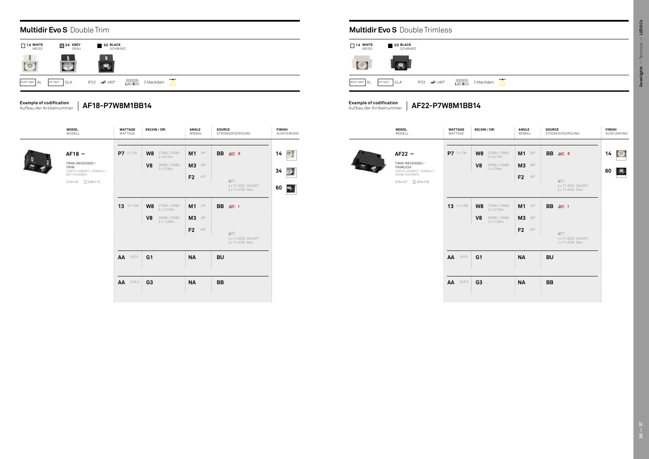| <b>KELVIN / CRI</b>                                                                                | <b>ANGLE</b><br>WINKEL                                      | <b>SOURCE</b><br>STROMVERSORGUNG                                                                | <b>FINISH</b><br>AUSFÜHRUNG | <b>MODEL</b><br>MODELL                                                                              | <b>WATTAGE</b><br>WATTAGE        | <b>KELVIN / CRI</b>                                                              | <b>ANGLE</b><br>WINKEL                                      | <b>SOURCE</b><br>STROMVERSORGUNG                                                   | <b>FINISH</b><br>AUSFÜHRUNG       |
|----------------------------------------------------------------------------------------------------|-------------------------------------------------------------|-------------------------------------------------------------------------------------------------|-----------------------------|-----------------------------------------------------------------------------------------------------|----------------------------------|----------------------------------------------------------------------------------|-------------------------------------------------------------|------------------------------------------------------------------------------------|-----------------------------------|
| $\rm{W8}$ 2700K / CRI80<br>2 x 617lm<br>V8<br>3000K / CRI80<br>2 x 570lm                           | $M1^{24^{\circ}}$<br><b>M3</b> 38°<br>F <sub>2</sub><br>60° | BB ⊗ E<br>$\circledcirc$<br>2 x 71-3923 ON/OFF                                                  | $14$ $\circ$<br>34<br>60    | $AF22 -$<br>TWIN/RECESSED/<br>TRIMLESS<br>ZWEIFLAMMIG / EINBAU /<br>OHNE RAHMEN<br>205x107 1206x108 | P7 2 x 7 W                       | W8<br>2700K / CRI80<br>2 x 617lm<br>V <sub>8</sub><br>3000K / CRI80<br>2 x 570lm | $M1 - 24^{\circ}$<br><b>M3</b> 38°<br>F <sub>2</sub><br>60° | BB ⊗ E<br>$\circledcirc$<br>2 x 71-3923 ON/OFF                                     | $14$ $\Box$<br>$\mathbf{e}$<br>60 |
| $\rm{W8}$ $\frac{2700K}{2 \times 1213 \text{lm}}$<br>V <sub>8</sub><br>3000K / CRI80<br>2 x 1120lm | <b>M1</b> $24^{\circ}$<br>M3 38°<br>F <sub>2</sub><br>60°   | 2 x 71-4706 DALI<br><b>BB</b><br>※ 1<br>$\mathcal{D}$<br>2 x 71-5233 ON/OFF<br>2 x 71-4706 DALI | 31                          |                                                                                                     | $13$ $2 \times 13W$              | W8<br>2700K / CRI80<br>2 x 1213lm<br>V8<br>3000K / CRI80<br>2 x 1120lm           | $M1$ $^{24^{\circ}}$<br><b>M3</b> 38°<br>F2<br>60°          | 2 x 71-4706 DALI<br>BB 宓 I<br>$\bigcirc$<br>2 x 71-5233 ON/OFF<br>2 x 71-4706 DALI |                                   |
| G <sub>1</sub><br>G <sub>3</sub>                                                                   | <b>NA</b><br><b>NA</b>                                      | <b>BU</b><br><b>BB</b>                                                                          |                             |                                                                                                     | AA<br>GU10<br>AA<br><b>GU5.3</b> | G <sub>1</sub><br>G <sub>3</sub>                                                 | <b>NA</b><br><b>NA</b>                                      | <b>BU</b><br><b>BB</b>                                                             |                                   |
|                                                                                                    |                                                             |                                                                                                 |                             |                                                                                                     |                                  |                                                                                  |                                                             |                                                                                    |                                   |

dam  $\sum$ 

| 2700K / CRI80<br>M1<br>$24^{\circ}$<br>BB ⊗ E<br>3000K / CRI80<br><b>M3</b><br>$38^{\circ}$ | $\circ$<br>14                   | P7 2 x 7W<br>$AF22 -$                                |
|---------------------------------------------------------------------------------------------|---------------------------------|------------------------------------------------------|
|                                                                                             |                                 |                                                      |
|                                                                                             |                                 |                                                      |
|                                                                                             | 34                              | TWIN/RECESSED/<br>TRIMLESS<br>ZWEIFLAMMIG / EINBAU / |
| F <sub>2</sub><br>60°                                                                       | 97                              | OHNE RAHMEN                                          |
| $\bigcirc$<br>2 x 71-3923 ON/OFF<br>2 x 71-4706 DALI                                        | 60                              | 205x107 1206x108                                     |
| M1<br>$24^{\circ}$<br>BB $\gg 1$                                                            |                                 | <b>13</b> 2 x 13W                                    |
| <b>M3</b><br>38°                                                                            |                                 |                                                      |
| F <sub>2</sub><br>$60^{\circ}$                                                              |                                 |                                                      |
| 2 x 71-5233 ON/OFF<br>2 x 71-4706 DALI                                                      |                                 |                                                      |
| <b>NA</b><br><b>BU</b>                                                                      |                                 | AA GU10                                              |
|                                                                                             |                                 | <b>AA</b> GU5.3                                      |
| 2700K / CRI80<br>3000K / CRI80                                                              | $\mathbb{Z}$<br><b>NA</b><br>BB |                                                      |

## **Multidir Evo S** Double Trimless

#### **Example of codification** Aufbau der Artikelnummer

**Example of codification** Aufbau der Artikelnummer

|                          | <b>Multidir Evo S</b> Double Trim |                            |                           |           |  |  |  |  |  |  |  |
|--------------------------|-----------------------------------|----------------------------|---------------------------|-----------|--|--|--|--|--|--|--|
| $\Box$ 14 WHITE<br>WEISS | $\Box$ 34 GREY<br>GRAU            | <b>60 BLACK</b><br>SCHWARZ |                           |           |  |  |  |  |  |  |  |
| 一度                       |                                   | B                          |                           |           |  |  |  |  |  |  |  |
| BODY MAT AL              | GLA<br>DIF MAT                    | $\neq 140^\circ$<br>IP23   | 50000h<br>L80 <b>B</b> 20 | 2 MacAdam |  |  |  |  |  |  |  |

| <b>WHITE</b><br>14<br><b>WEISS</b> | 60 BLACK<br><b>SCHWARZ</b> |                          |                   |          |
|------------------------------------|----------------------------|--------------------------|-------------------|----------|
|                                    |                            |                          |                   |          |
| <b>BODY MAT AL</b>                 | DIF MAT<br>GLA             | IP23 $\cancel{\pi}$ ±40° | 50000h<br>L80 B20 | 2 MacAda |

**AF22-P7W8M1BB14**

**AF18-P7W8M1BB14**



**TWIN /RECESSED / TRIM** ZWEIFLAMMIG / EINBAU / MIT RAHMEN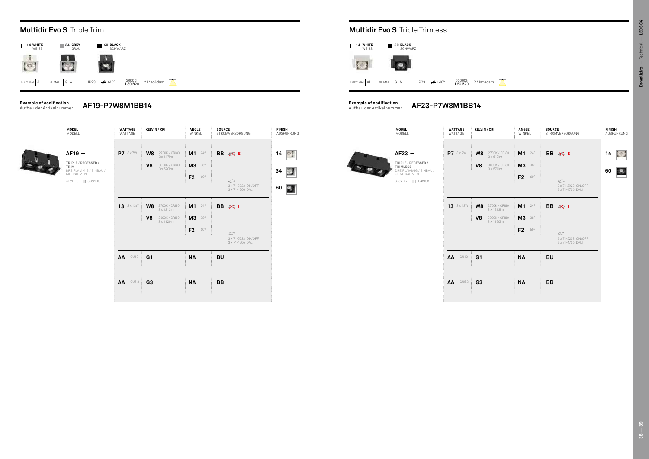| <b>KELVIN / CRI</b>                                                                                        | ANGLE<br>WINKEL                                             | <b>SOURCE</b><br>STROMVERSORGUNG                                            | <b>FINISH</b><br>AUSFÜHRUNG   | <b>MODEL</b><br>MODELL                                                                                          | <b>WATTAGE</b><br>Wattage        | <b>KELVIN / CRI</b>                                                                 | ANGLE<br>WINKEL                                 | <b>SOURCE</b><br>STROMVERSORGUNG                                  | <b>FINISH</b><br>AUSFÜHRUNG        |
|------------------------------------------------------------------------------------------------------------|-------------------------------------------------------------|-----------------------------------------------------------------------------|-------------------------------|-----------------------------------------------------------------------------------------------------------------|----------------------------------|-------------------------------------------------------------------------------------|-------------------------------------------------|-------------------------------------------------------------------|------------------------------------|
| $\rm{W8}$ $\frac{2700K}{3 \times 617 \text{lm}}$<br>V <sub>8</sub><br>3000K / CRI80<br>3 x 570lm           | $M1^{24^{\circ}}$<br><b>M3</b> 38°<br>F <sub>2</sub><br>60° | BB $\gg$ E<br>$\mathcal{D}$<br>3 x 71-3923 ON/OFF<br>3 x 71-4706 DALI       | $14$ $\circ$<br>V<br>34<br>60 | $AF23 -$<br>TRIPLE / RECESSED /<br><b>TRIMLESS</b><br>DREIFLAMMIG / EINBAU /<br>OHNE RAHMEN<br>303x107 1304x108 | P7 3 x 7W                        | W8<br>2700K / CRI80<br>3 x 617lm<br>V <sub>8</sub><br>3000K / CRI80<br>3 x 570lm    | $M1^{24^{\circ}}$<br><b>M3</b> 38°<br>F2<br>60° | BB ⊗ E<br>$\mathcal{D}$<br>3 x 71-3923 ON/OFF<br>3 x 71-4706 DALI | $14$ $\Box$<br>$\mathcal{P}$<br>60 |
| $\rm{W8}$ $\frac{2700K}{3 \times 1213 \text{lm}}$<br>V <sub>8</sub><br>3000K / CRI80<br>$3 \times 1120$ lm | $M1^{24^{\circ}}$<br><b>M3</b> 38°<br>F <sub>2</sub><br>60° | <b>BB</b><br>※ 1<br>$\mathcal{D}$<br>3 x 71-5233 ON/OFF<br>3 x 71-4706 DALI |                               |                                                                                                                 | 13 3 x 13W                       | W8<br>2700K / CRI80<br>3 x 1213lm<br>V <sub>8</sub><br>3000K / CRI80<br>3 x 1120 lm | $M1^{24^{\circ}}$<br><b>M3</b> 38°<br>F2<br>60° | BB @<br>$\mathcal{D}$<br>3 x 71-5233 ON/OFF<br>3 x 71-4706 DALI   |                                    |
| G <sub>1</sub><br>G <sub>3</sub>                                                                           | <b>NA</b><br><b>NA</b>                                      | <b>BU</b><br><b>BB</b>                                                      |                               |                                                                                                                 | AA<br>GU10<br>AA<br><b>GU5.3</b> | G <sub>1</sub><br>G <sub>3</sub>                                                    | <b>NA</b><br><b>NA</b>                          | <b>BU</b><br><b>BB</b>                                            |                                    |
|                                                                                                            |                                                             |                                                                             |                               |                                                                                                                 |                                  |                                                                                     |                                                 |                                                                   |                                    |

| <b>MODEL</b><br>MODELL                                                                            | <b>WATTAGE</b><br>WATTAGE | <b>KELVIN / CRI</b>                                                                              | <b>ANGLE</b><br>WINKEL                                         | <b>SOURCE</b><br>STROMVERSORGUNG                                  | <b>FINISH</b><br>AUSFÜHRUNG   | <b>MODEL</b><br>Modell                                                                                          | <b>WATTAGE</b><br>WATTAGE | <b>KELV</b>                      |
|---------------------------------------------------------------------------------------------------|---------------------------|--------------------------------------------------------------------------------------------------|----------------------------------------------------------------|-------------------------------------------------------------------|-------------------------------|-----------------------------------------------------------------------------------------------------------------|---------------------------|----------------------------------|
| AF19 -<br>TRIPLE / RECESSED /<br>TRIM<br>DREIFLAMMIG / EINBAU /<br>MIT RAHMEN<br>316x110 1306x110 | P7 3 x 7W                 | W8<br>2700K / CRI80<br>$3 \times 617$ lm<br>V <sub>8</sub><br>3000K / CRI80<br>$3 \times 570$ lm | M1<br>$24^{\circ}$<br><b>M3</b> 38°<br>F2<br>60°               | BB ⊗ E<br>$\mathcal{D}$<br>3 x 71-3923 ON/OFF<br>3 x 71-4706 DALI | $14$ $\circ$<br>34<br>60<br>零 | $AF23 -$<br>TRIPLE / RECESSED /<br><b>TRIMLESS</b><br>DREIFLAMMIG / EINBAU /<br>OHNE RAHMEN<br>303x107 1304x108 | P7 3 x 7 W                | W <sub>8</sub><br>V <sub>8</sub> |
|                                                                                                   | <b>13</b> 3 x 13W         | 2700K / CRI80<br>3 x 1213lm<br>W8<br>3000K / CRI80<br>V <sub>8</sub><br>$3 \times 1120$ lm       | $M1$ $^{24^{\circ}}$<br><b>M3</b> 38°<br>F <sub>2</sub><br>60° | BB 宓 I<br>$\mathcal{D}$<br>3 x 71-5233 ON/OFF<br>3 x 71-4706 DALI |                               |                                                                                                                 | <b>13</b> 3 x 13W         | W8<br>V <sub>8</sub>             |
|                                                                                                   | AA<br>GU10<br>AA<br>GU5.3 | G <sub>1</sub><br>G <sub>3</sub>                                                                 | <b>NA</b><br><b>NA</b>                                         | <b>BU</b><br>BB                                                   |                               |                                                                                                                 | GU10<br>AA<br>AA<br>GU5.3 | G <sub>1</sub><br>G <sub>3</sub> |
|                                                                                                   |                           |                                                                                                  |                                                                |                                                                   |                               |                                                                                                                 |                           |                                  |





#### **Example of codification** Aufbau der Artikelnummer

**Example of codification** Aufbau der Artikelnummer

**AF23-P7W8M1BB14**

**AF19-P7W8M1BB14**

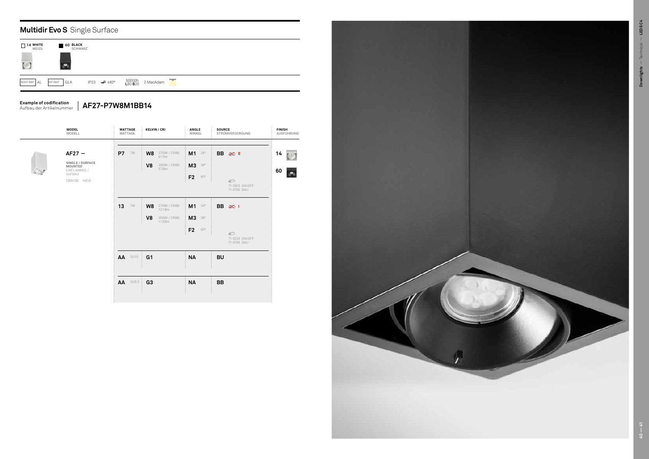



|                            | <b>Multidir Evo S</b> Single Surface |  |                          |                   |           |  |  |  |  |  |  |  |
|----------------------------|--------------------------------------|--|--------------------------|-------------------|-----------|--|--|--|--|--|--|--|
| $\sqcap$ 14 white<br>WEISS | <b>60 BLACK</b><br>SCHWARZ           |  |                          |                   |           |  |  |  |  |  |  |  |
| BODY MAT AL                | GLA<br>DIF MAT                       |  | IP23 $\cancel{\pi}$ ±40° | 50000h<br>L80 B20 | 2 MacAdam |  |  |  |  |  |  |  |

## **Example of codification**

Aufbau der Artikelnummer **AF27-P7W8M1BB14**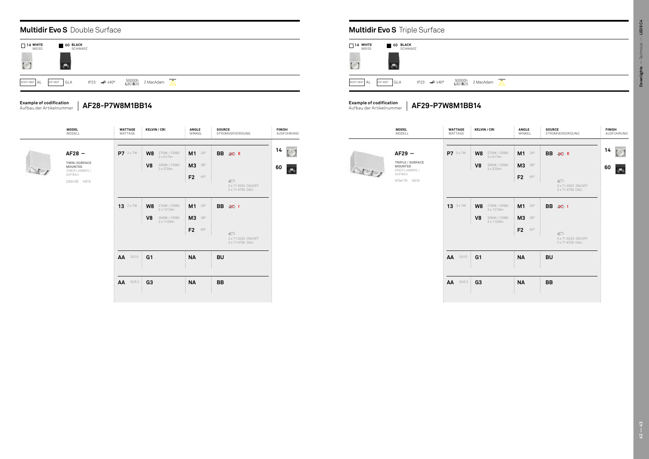## **Multidir Evo S** Double Surface **Multidir Evo S** Triple Surface

| <b>MODEL</b><br>MODELL                                                                       | WATTAGE<br>WATTAGE  | <b>KELVIN / CRI</b>                                                                        | ANGLE<br>WINKEL                                                          | <b>SOURCE</b><br>STROMVERSORGUNG                                        | FINISH<br>AUSFÜHRUNG                                           |            | <b>MODEL</b><br>MODELL                                                             | WATTAGE<br>WATTAGE |
|----------------------------------------------------------------------------------------------|---------------------|--------------------------------------------------------------------------------------------|--------------------------------------------------------------------------|-------------------------------------------------------------------------|----------------------------------------------------------------|------------|------------------------------------------------------------------------------------|--------------------|
| $AF28 -$<br><b>TWIN/SURFACE</b><br><b>MOUNTED</b><br>ZWEIFLAMMIG /<br>AUFBAU<br>220x120 H210 | P7 2 x 7 W          | 2700K / CRI80<br>2 x 617lm<br>W8<br>3000K / CRI80<br>V <sub>8</sub><br>$2 \times 570$ lm   | M1<br>$24^{\circ}$<br><b>M3</b><br>38°<br>F <sub>2</sub><br>$60^{\circ}$ | BB ⊗ E<br>$\circledcirc$<br>2 x 71-3923 ON/OFF<br>2 x 71-4706 DALI      | $14$ $\begin{bmatrix} 0 \\ 1 \end{bmatrix}$<br>60<br>$\bullet$ | $\sqrt{2}$ | $AF29 -$<br>TRIPLE / SURFACE<br>MOUNTED<br>DREIFLAMMIG /<br>AUFBAU<br>470x170 H210 | P7 3x7W            |
|                                                                                              | $13$ $2 \times 700$ | W8<br>2700K / CRI80<br>$2 \times 1213$ lm<br>3000K / CRI80<br>V <sub>8</sub><br>2 x 1120lm | M1<br>$24^{\circ}$<br>M3<br>380<br>F <sub>2</sub><br>$60^{\circ}$        | <b>BB 经 I</b><br>$\mathbb{Z}$<br>2 x 71-5233 ON/OFF<br>2 x 71-4706 DALI |                                                                |            |                                                                                    | <b>13</b> 3x7W     |
|                                                                                              | AA<br>GU10          | G <sub>1</sub>                                                                             | <b>NA</b>                                                                | <b>BU</b>                                                               |                                                                |            |                                                                                    | AA GU10            |
|                                                                                              | $AA$ GU5.3          | G <sub>3</sub>                                                                             | <b>NA</b>                                                                | <b>BB</b>                                                               |                                                                |            |                                                                                    | <b>AA</b> GU5.3    |





| <b>KELVIN / CRI</b>                                                  | ANGLE<br>WINKEL                       | <b>SOURCE</b><br>STROMVERSORGUNG                        | FINISH<br>AUSFÜHRUNG     |      | <b>MODEL</b><br>Modell                                             | WATTAGE<br>Wattage | <b>KELVIN / CRI</b>                                                              | ANGLE<br>WINKEL                 | <b>SOURCE</b><br>STROMVERSORGUNG                        | <b>FINISH</b><br>AUSFÜHRUNG |
|----------------------------------------------------------------------|---------------------------------------|---------------------------------------------------------|--------------------------|------|--------------------------------------------------------------------|--------------------|----------------------------------------------------------------------------------|---------------------------------|---------------------------------------------------------|-----------------------------|
| W8<br>2700K / CRI80<br>2 x 617lm<br>V8<br>3000K / CRI80<br>2 x 570lm | $M1$ $^{24^{\circ}}$<br><b>M3</b> 38° | BB ⊗ E                                                  | $14$ [3]<br>60 <b>pm</b> | Step | $AF29 -$<br>TRIPLE / SURFACE<br>MOUNTED<br>DREIFLAMMIG /<br>AUFBAU | P7 3x7W            | W8<br>2700K / CRI80<br>3 x 617lm<br>V <sub>8</sub><br>3000K / CRI80<br>3 x 570lm | M1 24°<br>M3 38°                | BB ⊗ E                                                  | $14$ [3]<br>60 0            |
|                                                                      | F2<br>$60^{\circ}$                    | $\mathcal{D}$<br>2 x 71-3923 ON/OFF<br>2 x 71-4706 DALI |                          |      | 470x170 H210                                                       |                    |                                                                                  | F <sub>2</sub><br>60°           | $\mathcal{D}$<br>3 x 71-3923 ON/OFF<br>3 x 71-4706 DALI |                             |
| W8<br>2700K / CRI80<br>2 x 1213lm<br>3000K / CRI80                   | $M1^{240}$                            | <b>BB</b><br>※ 1                                        |                          |      |                                                                    | 13 3 x 7 W         | W8<br>2700K / CRI80<br>3 x 1213lm<br>3000K / CRI80                               | $M1$ $^{24^{\circ}}$            | <b>BB</b><br>  文                                        |                             |
| V8<br>$2 \times 1120$ lm                                             | M3 38°<br>F2<br>60°                   | $\mathbb{Z}$                                            |                          |      |                                                                    |                    | V <sub>8</sub><br>$3 \times 1120$ lm                                             | M3 38°<br>F <sub>2</sub><br>60° | $\mathcal{D}$                                           |                             |
|                                                                      |                                       | 2 x 71-5233 ON/OFF<br>2 x 71-4706 DALI                  |                          |      |                                                                    |                    |                                                                                  |                                 | 3 x 71-5233 ON/OFF<br>3 x 71-4706 DALI                  |                             |
| G1                                                                   | <b>NA</b>                             | <b>BU</b>                                               |                          |      |                                                                    | AA<br>GU10         | G <sub>1</sub>                                                                   | <b>NA</b>                       | <b>BU</b>                                               |                             |
| G3                                                                   | <b>NA</b>                             | <b>BB</b>                                               |                          |      |                                                                    | <b>GU5.3</b><br>AA | G <sub>3</sub>                                                                   | <b>NA</b>                       | <b>BB</b>                                               |                             |
|                                                                      |                                       |                                                         |                          |      |                                                                    |                    |                                                                                  |                                 |                                                         |                             |

#### **Example of codification** Aufbau der Artikelnummer



**Example of codification** Aufbau der Artikelnummer

**AF28-P7W8M1BB14 AF29-P7W8M1BB14**